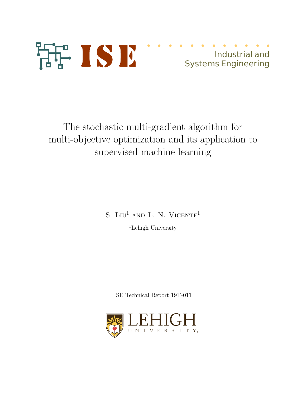

# Industrial and Systems Engineering

The stochastic multi-gradient algorithm for multi-objective optimization and its application to supervised machine learning

S. LIU<sup>1</sup> AND L. N. VICENTE<sup>1</sup>

<sup>1</sup>Lehigh University

ISE Technical Report 19T-011

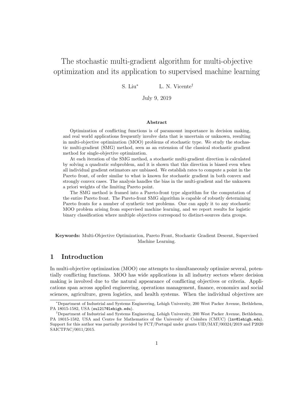## The stochastic multi-gradient algorithm for multi-objective optimization and its application to supervised machine learning

S. Liu<sup>∗</sup> L. N. Vicente†

July 9, 2019

#### Abstract

Optimization of conflicting functions is of paramount importance in decision making, and real world applications frequently involve data that is uncertain or unknown, resulting in multi-objective optimization (MOO) problems of stochastic type. We study the stochastic multi-gradient (SMG) method, seen as an extension of the classical stochastic gradient method for single-objective optimization.

At each iteration of the SMG method, a stochastic multi-gradient direction is calculated by solving a quadratic subproblem, and it is shown that this direction is biased even when all individual gradient estimators are unbiased. We establish rates to compute a point in the Pareto front, of order similar to what is known for stochastic gradient in both convex and strongly convex cases. The analysis handles the bias in the multi-gradient and the unknown a priori weights of the limiting Pareto point.

The SMG method is framed into a Pareto-front type algorithm for the computation of the entire Pareto front. The Pareto-front SMG algorithm is capable of robustly determining Pareto fronts for a number of synthetic test problems. One can apply it to any stochastic MOO problem arising from supervised machine learning, and we report results for logistic binary classification where multiple objectives correspond to distinct-sources data groups.

Keywords: Multi-Objective Optimization, Pareto Front, Stochastic Gradient Descent, Supervised Machine Learning.

## 1 Introduction

In multi-objective optimization (MOO) one attempts to simultaneously optimize several, potentially conflicting functions. MOO has wide applications in all industry sectors where decision making is involved due to the natural appearance of conflicting objectives or criteria. Applications span across applied engineering, operations management, finance, economics and social sciences, agriculture, green logistics, and health systems. When the individual objectives are

<sup>∗</sup>Department of Industrial and Systems Engineering, Lehigh University, 200 West Packer Avenue, Bethlehem, PA 18015-1582, USA (sul217@lehigh.edu).

<sup>†</sup>Department of Industrial and Systems Engineering, Lehigh University, 200 West Packer Avenue, Bethlehem, PA 18015-1582, USA and Centre for Mathematics of the University of Coimbra (CMUC) (lnv@lehigh.edu). Support for this author was partially provided by FCT/Portugal under grants UID/MAT/00324/2019 and P2020 SAICTPAC/0011/2015.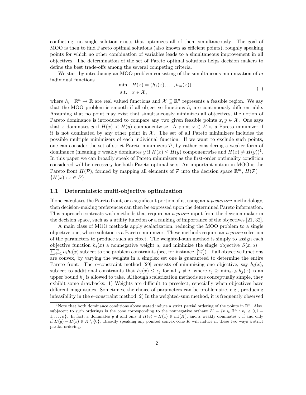conflicting, no single solution exists that optimizes all of them simultaneously. The goal of MOO is then to find Pareto optimal solutions (also known as efficient points), roughly speaking points for which no other combination of variables leads to a simultaneous improvement in all objectives. The determination of the set of Pareto optimal solutions helps decision makers to define the best trade-offs among the several competing criteria.

We start by introducing an MOO problem consisting of the simultaneous minimization of  $m$ individual functions

$$
\min H(x) = (h_1(x), \dots, h_m(x))^\top
$$
  
s.t.  $x \in \mathcal{X},$  (1)

where  $h_i: \mathbb{R}^n \to \mathbb{R}$  are real valued functions and  $\mathcal{X} \subseteq \mathbb{R}^n$  represents a feasible region. We say that the MOO problem is smooth if all objective functions  $h_i$  are continuously differentiable. Assuming that no point may exist that simultaneously minimizes all objectives, the notion of Pareto dominance is introduced to compare any two given feasible points  $x, y \in \mathcal{X}$ . One says that x dominates y if  $H(x) < H(y)$  componentwise. A point  $x \in \mathcal{X}$  is a Pareto minimizer if it is not dominated by any other point in  $\mathcal{X}$ . The set of all Pareto minimizers includes the possible multiple minimizers of each individual function. If we want to exclude such points, one can consider the set of strict Pareto minimizers  $P$ , by rather considering a weaker form of dominance (meaning x weakly dominates y if  $H(x) \le H(y)$  componentwise and  $H(x) \ne H(y)$ <sup>1</sup>. In this paper we can broadly speak of Pareto minimizers as the first-order optimality condition considered will be necessary for both Pareto optimal sets. An important notion in MOO is the Pareto front  $H(\mathcal{P})$ , formed by mapping all elements of  $\mathcal P$  into the decision space  $\mathbb{R}^m$ ,  $H(\mathcal{P})=$  ${H(x) : x \in \mathcal{P}}.$ 

#### 1.1 Deterministic multi-objective optimization

If one calculates the Pareto front, or a significant portion of it, using an a posteriori methodology, then decision-making preferences can then be expressed upon the determined Pareto information. This approach contrasts with methods that require an a priori input from the decision maker in the decision space, such as a utility function or a ranking of importance of the objectives [21, 32].

A main class of MOO methods apply scalarization, reducing the MOO problem to a single objective one, whose solution is a Pareto minimizer. These methods require an a priori selection of the parameters to produce such an effect. The weighted-sum method is simply to assign each objective function  $h_i(x)$  a nonnegative weight  $a_i$  and minimize the single objective  $S(x, a) =$  $\sum_{i=1}^{m} a_i h_i(x)$  subject to the problem constraints (see, for instance, [27]). If all objective functions are convex, by varying the weights in a simplex set one is guaranteed to determine the entire Pareto front. The  $\epsilon$ -constraint method [29] consists of minimizing one objective, say  $h_i(x)$ , subject to additional constraints that  $h_j(x) \leq \epsilon_j$  for all  $j \neq i$ , where  $\epsilon_j \geq \min_{x \in \mathcal{X}} h_j(x)$  is an upper bound  $h_i$  is allowed to take. Although scalarization methods are conceptually simple, they exhibit some drawbacks: 1) Weights are difficult to preselect, especially when objectives have different magnitudes. Sometimes, the choice of parameters can be problematic, e.g., producing infeasibility in the  $\epsilon$ -constraint method; 2) In the weighted-sum method, it is frequently observed

<sup>&</sup>lt;sup>1</sup>Note that both dominance conditions above stated induce a strict partial ordering of the points in  $\mathbb{R}^n$ . Also, subjacent to such orderings is the cone corresponding to the nonnegative orthant  $K = \{v \in \mathbb{R}^n : v_i \geq 0, i =$ 1,..., n}. In fact, x dominates y if and only if  $H(y) - H(x) \in \text{int}(K)$ , and x weakly dominates y if and only if  $H(y) - H(x) \in K \setminus \{0\}$ . Broadly speaking any pointed convex cone K will induce in these two ways a strict partial ordering.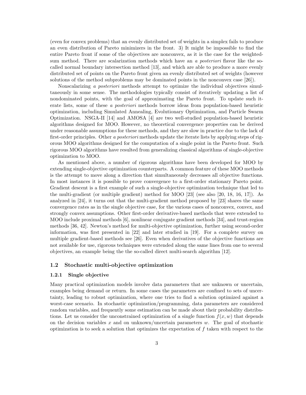(even for convex problems) that an evenly distributed set of weights in a simplex fails to produce an even distribution of Pareto minimizers in the front. 3) It might be impossible to find the entire Pareto front if some of the objectives are nonconvex, as it is the case for the weightedsum method. There are scalarization methods which have an a *posteriori* flavor like the socalled normal boundary intersection method [13], and which are able to produce a more evenly distributed set of points on the Pareto front given an evenly distributed set of weights (however solutions of the method subproblems may be dominated points in the nonconvex case [26]).

Nonscalarizing a posteriori methods attempt to optimize the individual objectives simultaneously in some sense. The methodologies typically consist of iteratively updating a list of nondominated points, with the goal of approximating the Pareto front. To update such iterate lists, some of these a posteriori methods borrow ideas from population-based heuristic optimization, including Simulated Annealing, Evolutionary Optimization, and Particle Swarm Optimization. NSGA-II [14] and AMOSA [4] are two well-studied population-based heuristic algorithms designed for MOO. However, no theoretical convergence properties can be derived under reasonable assumptions for these methods, and they are slow in practice due to the lack of first-order principles. Other a *posteriori* methods update the iterate lists by applying steps of rigorous MOO algorithms designed for the computation of a single point in the Pareto front. Such rigorous MOO algorithms have resulted from generalizing classical algorithms of single-objective optimization to MOO.

As mentioned above, a number of rigorous algorithms have been developed for MOO by extending single-objective optimization counterparts. A common feature of these MOO methods is the attempt to move along a direction that simultaneously decreases all objective functions. In most instances it is possible to prove convergence to a first-order stationary Pareto point. Gradient descent is a first example of such a single-objective optimization technique that led to the multi-gradient (or multiple gradient) method for MOO [23] (see also [20, 18, 16, 17]). As analyzed in [24], it turns out that the multi-gradient method proposed by [23] shares the same convergence rates as in the single objective case, for the various cases of nonconvex, convex, and strongly convex assumptions. Other first-order derivative-based methods that were extended to MOO include proximal methods [6], nonlinear conjugate gradient methods [34], and trust-region methods [36, 42]. Newton's method for multi-objective optimization, further using second-order information, was first presented in [22] and later studied in [19]. For a complete survey on multiple gradient-based methods see [26]. Even when derivatives of the objective functions are not available for use, rigorous techniques were extended along the same lines from one to several objectives, an example being the the so-called direct multi-search algorithm [12].

#### 1.2 Stochastic multi-objective optimization

#### 1.2.1 Single objective

Many practical optimization models involve data parameters that are unknown or uncertain, examples being demand or return. In some cases the parameters are confined to sets of uncertainty, leading to robust optimization, where one tries to find a solution optimized against a worst-case scenario. In stochastic optimization/programming, data parameters are considered random variables, and frequently some estimation can be made about their probability distributions. Let us consider the unconstrained optimization of a single function  $f(x, w)$  that depends on the decision variables x and on unknown/uncertain parameters  $w$ . The goal of stochastic optimization is to seek a solution that optimizes the expectation of  $f$  taken with respect to the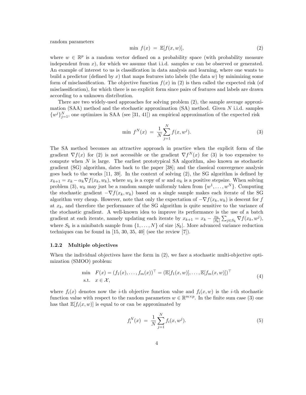random parameters

$$
\min f(x) = \mathbb{E}[f(x, w)],\tag{2}
$$

where  $w \in \mathbb{R}^p$  is a random vector defined on a probability space (with probability measure independent from  $x$ ), for which we assume that i.i.d. samples w can be observed or generated. An example of interest to us is classification in data analysis and learning, where one wants to build a predictor (defined by x) that maps features into labels (the data  $w$ ) by minimizing some form of misclassification. The objective function  $f(x)$  in (2) is then called the expected risk (of misclassification), for which there is no explicit form since pairs of features and labels are drawn according to a unknown distribution.

There are two widely-used approaches for solving problem (2), the sample average approximation  $(SAA)$  method and the stochastic approximation  $(SA)$  method. Given N i.i.d. samples  $\{w^{j}\}_{j=1}^{N}$ , one optimizes in SAA (see [31, 41]) an empirical approximation of the expected risk

$$
\min f^N(x) = \frac{1}{N} \sum_{j=1}^N f(x, w^j). \tag{3}
$$

The SA method becomes an attractive approach in practice when the explicit form of the gradient  $\nabla f(x)$  for (2) is not accessible or the gradient  $\nabla f^{N}(x)$  for (3) is too expensive to compute when  $N$  is large. The earliest prototypical SA algorithm, also known as stochastic gradient (SG) algorithm, dates back to the paper [38]; and the classical convergence analysis goes back to the works  $[11, 39]$ . In the context of solving  $(2)$ , the SG algorithm is defined by  $x_{k+1} = x_k - \alpha_k \nabla f(x_k, w_k)$ , where  $w_k$  is a copy of w and  $\alpha_k$  is a positive stepsize. When solving problem (3),  $w_k$  may just be a random sample uniformly taken from  $\{w^1, \ldots, w^N\}$ . Computing the stochastic gradient  $-\nabla f(x_k, w_k)$  based on a single sample makes each iterate of the SG algorithm very cheap. However, note that only the expectation of  $-\nabla f(x_k, w_k)$  is descent for f at  $x_k$ , and therefore the performance of the SG algorithm is quite sensitive to the variance of the stochastic gradient. A well-known idea to improve its performance is the use of a batch gradient at each iterate, namely updating each iterate by  $x_{k+1} = x_k - \frac{\alpha_k}{|S_k|}$  $\frac{\alpha_k}{|S_k|} \sum_{j \in S_k} \nabla f(x_k, w^j),$ where  $S_k$  is a minibatch sample from  $\{1, \ldots, N\}$  of size  $|S_k|$ . More advanced variance reduction techniques can be found in [15, 30, 35, 40] (see the review [7]).

#### 1.2.2 Multiple objectives

When the individual objectives have the form in  $(2)$ , we face a stochastic multi-objective optimization (SMOO) problem:

$$
\begin{array}{ll}\n\text{min} & F(x) = (f_1(x), \dots, f_m(x))^\top = (\mathbb{E}[f_1(x, w)], \dots, \mathbb{E}[f_m(x, w)])^\top \\
\text{s.t.} & x \in \mathcal{X},\n\end{array} \tag{4}
$$

where  $f_i(x)$  denotes now the *i*-th objective function value and  $f_i(x, w)$  is the *i*-th stochastic function value with respect to the random parameters  $w \in \mathbb{R}^{m \times p}$ . In the finite sum case (3) one has that  $\mathbb{E}[f_i(x, w)]$  is equal to or can be approximated by

$$
f_i^N(x) = \frac{1}{N} \sum_{j=1}^N f_i(x, w^j).
$$
 (5)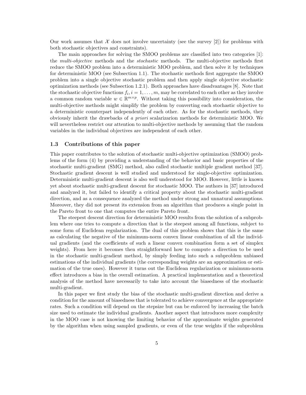Our work assumes that  $\mathcal X$  does not involve uncertainty (see the survey [2]) for problems with both stochastic objectives and constraints).

The main approaches for solving the SMOO problems are classified into two categories [1]: the multi-objective methods and the stochastic methods. The multi-objective methods first reduce the SMOO problem into a deterministic MOO problem, and then solve it by techniques for deterministic MOO (see Subsection 1.1). The stochastic methods first aggregate the SMOO problem into a single objective stochastic problem and then apply single objective stochastic optimization methods (see Subsection 1.2.1). Both approaches have disadvantages [8]. Note that the stochastic objective functions  $f_i, i = 1, \ldots, m$ , may be correlated to each other as they involve a common random variable  $w \in \mathbb{R}^{m \times p}$ . Without taking this possibility into consideration, the multi-objective methods might simplify the problem by converting each stochastic objective to a deterministic counterpart independently of each other. As for the stochastic methods, they obviously inherit the drawbacks of a priori scalarizarion methods for deterministic MOO. We will nevertheless restrict our attention to multi-objective methods by assuming that the random variables in the individual objectives are independent of each other.

#### 1.3 Contributions of this paper

This paper contributes to the solution of stochastic multi-objective optimization (SMOO) problems of the form (4) by providing a understanding of the behavior and basic properties of the stochastic multi-gradient (SMG) method, also called stochastic multiple gradient method [37]. Stochastic gradient descent is well studied and understood for single-objective optimization. Deterministic multi-gradient descent is also well understood for MOO. However, little is known yet about stochastic multi-gradient descent for stochastic MOO. The authors in [37] introduced and analyzed it, but failed to identify a critical property about the stochastic multi-gradient direction, and as a consequence analyzed the method under strong and unnatural assumptions. Moreover, they did not present its extension from an algorithm that produces a single point in the Pareto front to one that computes the entire Pareto front.

The steepest descent direction for deterministic MOO results from the solution of a subproblem where one tries to compute a direction that is the steepest among all functions, subject to some form of Euclidean regularization. The dual of this problem shows that this is the same as calculating the negative of the minimum-norm convex linear combination of all the individual gradients (and the coefficients of such a linear convex combination form a set of simplex weights). From here it becomes then straightforward how to compute a direction to be used in the stochastic multi-gradient method, by simply feeding into such a subproblem unbiased estimations of the individual gradients (the corresponding weights are an approximation or estimation of the true ones). However it turns out the Euclidean regularization or minimum-norm effect introduces a bias in the overall estimation. A practical implementation and a theoretical analysis of the method have necessarily to take into account the biasedness of the stochastic multi-gradient.

In this paper we first study the bias of the stochastic multi-gradient direction and derive a condition for the amount of biasedness that is tolerated to achieve convergence at the appropriate rates. Such a condition will depend on the stepsize but can be enforced by increasing the batch size used to estimate the individual gradients. Another aspect that introduces more complexity in the MOO case is not knowing the limiting behavior of the approximate weights generated by the algorithm when using sampled gradients, or even of the true weights if the subproblem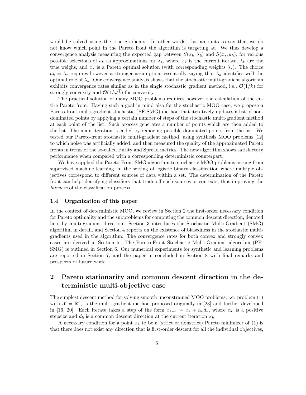would be solved using the true gradients. In other words, this amounts to say that we do not know which point in the Pareto front the algorithm is targeting at. We thus develop a convergence analysis measuring the expected gap between  $S(x_k, \lambda_k)$  and  $S(x_k, a_k)$ , for various possible selections of  $a_k$  as approximations for  $\lambda_*$ , where  $x_k$  is the current iterate,  $\lambda_k$  are the true weighs, and  $x_*$  is a Pareto optimal solution (with corresponding weights  $\lambda_*$ ). The choice  $a_k = \lambda_*$  requires however a stronger assumption, essentially saying that  $\lambda_k$  identifies well the optimal role of  $\lambda_*$ . Our convergence analysis shows that the stochastic multi-gradient algorithm exhibits convergence rates similar as in the single stochastic gradient method, i.e.,  $\mathcal{O}(1/k)$  for strongly convexity and  $\mathcal{O}(1/\sqrt{k})$  for convexity.

The practical solution of many MOO problems requires however the calculation of the entire Pareto front. Having such a goal in mind also for the stochastic MOO case, we propose a Pareto-front multi-gradient stochastic (PF-SMG) method that iteratively updates a list of nondominated points by applying a certain number of steps of the stochastic multi-gradient method at each point of the list. Such process generates a number of points which are then added to the list. The main iteration is ended by removing possible dominated points from the list. We tested our Pareto-front stochastic multi-gradient method, using synthesis MOO problems [12] to which noise was artificially added, and then measured the quality of the approximated Pareto fronts in terms of the so-called Purity and Spread metrics. The new algorithm shows satisfactory performance when compared with a corresponding deterministic counterpart.

We have applied the Pareto-Front SMG algorithm to stochastic MOO problems arising from supervised machine learning, in the setting of logistic binary classification where multiple objectives correspond to different sources of data within a set. The determination of the Pareto front can help identifying classifiers that trade-off such sources or contexts, thus improving the fairness of the classification process.

#### 1.4 Organization of this paper

In the context of deterministic MOO, we review in Section 2 the first-order necessary condition for Pareto optimality and the subproblems for computing the common descent direction, denoted here by multi-gradient direction. Section 3 introduces the Stochastic Multi-Gradient (SMG) algorithm in detail, and Section 4 reports on the existence of biasedness in the stochastic multigradients used in the algorithm. The convergence rates for both convex and strongly convex cases are derived in Section 5. The Pareto-Front Stochastic Multi-Gradient algorithm (PF-SMG) is outlined in Section 6. Our numerical experiments for synthetic and learning problems are reported in Section 7, and the paper in concluded in Section 8 with final remarks and prospects of future work.

## 2 Pareto stationarity and common descent direction in the deterministic multi-objective case

The simplest descent method for solving smooth unconstrained MOO problems, i.e. problem (1) with  $\mathcal{X} = \mathbb{R}^n$ , is the multi-gradient method proposed originally in [23] and further developed in [16, 20]. Each iterate takes a step of the form  $x_{k+1} = x_k + \alpha_k d_k$ , where  $\alpha_k$  is a positive stepsize and  $d_k$  is a common descent direction at the current iteration  $x_k$ .

A necessary condition for a point  $x_k$  to be a (strict or nonstrict) Pareto minimizer of (1) is that there does not exist any direction that is first-order descent for all the individual objectives,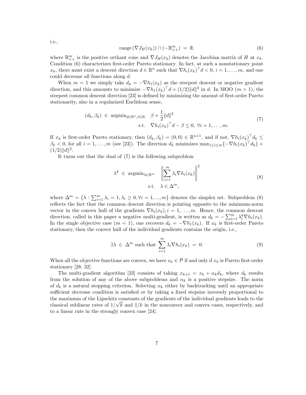i.e.,

$$
\text{range}\left(\nabla J_H(x_k)\right) \cap \left(-\mathbb{R}^m_{++}\right) \ = \ \emptyset,\tag{6}
$$

where  $\mathbb{R}_{++}^m$  is the positive orthant cone and  $\nabla J_H(x_k)$  denotes the Jacobian matrix of H at  $x_k$ . Condition (6) characterizes first-order Pareto stationary. In fact, at such a nonstationary point  $x_k$ , there must exist a descent direction  $d \in \mathbb{R}^n$  such that  $\nabla h_i(x_k)^\top d < 0$ ,  $i = 1, \ldots, m$ , and one could decrease all functions along d.

When  $m = 1$  we simply take  $d_k = -\nabla h_1(x_k)$  as the steepest descent or negative gradient direction, and this amounts to minimize  $-\nabla h_1(x_k)^\top d + (1/2) ||d||^2$  in d. In MOO ( $m > 1$ ), the steepest common descent direction [23] is defined by minimizing the amount of first-order Pareto stationarity, also in a regularized Euclidean sense,

$$
(d_k, \beta_k) \in \operatorname{argmin}_{d \in \mathbb{R}^n, \beta \in \mathbb{R}} \beta + \frac{1}{2} ||d||^2
$$
  
s.t. 
$$
\nabla h_i(x_k)^\top d - \beta \le 0, \ \forall i = 1, \dots, m.
$$
 (7)

If  $x_k$  is first-order Pareto stationary, then  $(d_k, \beta_k) = (0, 0) \in \mathbb{R}^{n+1}$ , and if not,  $\nabla h_i(x_k)^\top d_k \leq$  $\beta_k < 0$ , for all  $i = 1, \ldots, m$  (see [23]). The direction  $d_k$  minimizes  $\max_{1 \leq i \leq m} \{-\nabla h_i(x_k)^\top d_k\} +$  $(1/2)$ ||d||<sup>2</sup>.

It turns out that the dual of (7) is the following subproblem

$$
\lambda^{k} \in \operatorname{argmin}_{\lambda \in \mathbb{R}^{m}} \left\| \sum_{i=1}^{m} \lambda_{i} \nabla h_{i}(x_{k}) \right\|^{2}
$$
\n
$$
\text{s.t.} \quad \lambda \in \Delta^{m}, \tag{8}
$$

where  $\Delta^m = \{\lambda : \sum_{i=1}^m \lambda_i = 1, \lambda_i \geq 0, \forall i = 1, ..., m\}$  denotes the simplex set. Subproblem (8) reflects the fact that the common descent direction is pointing opposite to the minimum-norm vector in the convex hull of the gradients  $\nabla h_i(x_k)$ ,  $i = 1, \ldots, m$ . Hence, the common descent direction, called in this paper a negative multi-gradient, is written as  $d_k = -\sum_{i=1}^m \lambda_i^k \nabla h_i(x_k)$ . In the single objective case  $(m = 1)$ , one recovers  $d_k = -\nabla h_1(x_k)$ . If  $x_k$  is first-order Pareto stationary, then the convex hull of the individual gradients contains the origin, i.e.,

$$
\exists \lambda \in \Delta^m \text{ such that } \sum_{i=1}^m \lambda_i \nabla h_i(x_k) = 0. \tag{9}
$$

When all the objective functions are convex, we have  $x_k \in \mathcal{P}$  if and only if  $x_k$  is Pareto first-order stationary [28, 32].

The multi-gradient algorithm [23] consists of taking  $x_{k+1} = x_k + \alpha_k d_k$ , where  $d_k$  results from the solution of any of the above subproblems and  $\alpha_k$  is a positive stepsize. The norm of  $d_k$  is a natural stopping criterion. Selecting  $\alpha_k$  either by backtracking until an appropriate sufficient decrease condition is satisfied or by taking a fixed stepsize inversely proportional to the maximum of the Lipschitz constants of the gradients of the individual gradients leads to the classical sublinear rates of  $1/\sqrt{k}$  and  $1/k$  in the nonconvex and convex cases, respectively, and to a linear rate in the strongly convex case [24].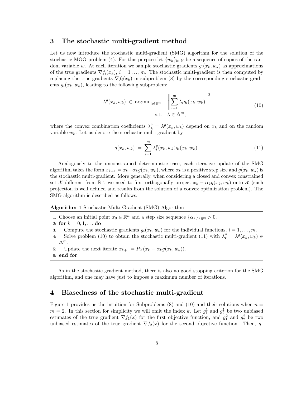## 3 The stochastic multi-gradient method

Let us now introduce the stochastic multi-gradient (SMG) algorithm for the solution of the stochastic MOO problem (4). For this purpose let  $\{w_k\}_{k\in\mathbb{N}}$  be a sequence of copies of the random variable w. At each iteration we sample stochastic gradients  $g_i(x_k, w_k)$  as approximations of the true gradients  $\nabla f_i(x_k)$ ,  $i = 1, ..., m$ . The stochastic multi-gradient is then computed by replacing the true gradients  $\nabla f_i(x_k)$  in subproblem (8) by the corresponding stochastic gradients  $g_i(x_k, w_k)$ , leading to the following subproblem:

$$
\lambda^{g}(x_{k}, w_{k}) \in \operatorname{argmin}_{\lambda \in \mathbb{R}^{m}} \left\| \sum_{i=1}^{m} \lambda_{i} g_{i}(x_{k}, w_{k}) \right\|^{2}
$$
\n
$$
\text{s.t.} \quad \lambda \in \Delta^{m}, \tag{10}
$$

where the convex combination coefficients  $\lambda_k^g = \lambda^g(x_k, w_k)$  depend on  $x_k$  and on the random variable  $w_k$ . Let us denote the stochastic multi-gradient by

$$
g(x_k, w_k) = \sum_{i=1}^{m} \lambda_i^g(x_k, w_k) g_i(x_k, w_k).
$$
 (11)

Analogously to the unconstrained deterministic case, each iterative update of the SMG algorithm takes the form  $x_{k+1} = x_k - \alpha_k g(x_k, w_k)$ , where  $\alpha_k$  is a positive step size and  $g(x_k, w_k)$  is the stochastic multi-gradient. More generally, when considering a closed and convex constrained set X different from  $\mathbb{R}^n$ , we need to first orthogonally project  $x_k - \alpha_k g(x_k, w_k)$  onto X (such projection is well defined and results from the solution of a convex optimization problem). The SMG algorithm is described as follows.

Algorithm 1 Stochastic Multi-Gradient (SMG) Algorithm

1: Choose an initial point  $x_0 \in \mathbb{R}^n$  and a step size sequence  $\{\alpha_k\}_{k \in \mathbb{N}} > 0$ .

2: for  $k = 0, 1, ...$  do

- 3: Compute the stochastic gradients  $g_i(x_k, w_k)$  for the individual functions,  $i = 1, \ldots, m$ .
- 4: Solve problem (10) to obtain the stochastic multi-gradient (11) with  $\lambda_k^g = \lambda^g(x_k, w_k) \in$  $\Delta^m$ .
- 5: Update the next iterate  $x_{k+1} = P_{\mathcal{X}}(x_k \alpha_k g(x_k, w_k)).$

6: end for

As in the stochastic gradient method, there is also no good stopping criterion for the SMG algorithm, and one may have just to impose a maximum number of iterations.

## 4 Biasedness of the stochastic multi-gradient

Figure 1 provides us the intuition for Subproblems  $(8)$  and  $(10)$  and their solutions when  $n =$  $m = 2$ . In this section for simplicity we will omit the index k. Let  $g_1^1$  and  $g_2^1$  be two unbiased estimates of the true gradient  $\nabla f_1(x)$  for the first objective function, and  $g_1^2$  and  $g_2^2$  be two unbiased estimates of the true gradient  $\nabla f_2(x)$  for the second objective function. Then,  $g_1$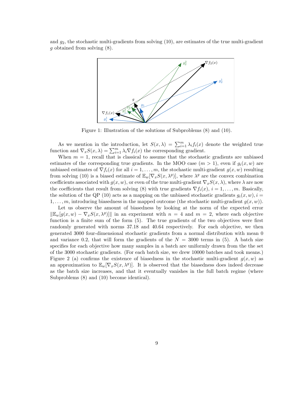and  $g_2$ , the stochastic multi-gradients from solving (10), are estimates of the true multi-gradient g obtained from solving (8).



Figure 1: Illustration of the solutions of Subproblems (8) and (10).

As we mention in the introduction, let  $S(x, \lambda) = \sum_{i=1}^{m} \lambda_i f_i(x)$  denote the weighted true function and  $\nabla_x S(x,\lambda) = \sum_{i=1}^m \lambda_i \nabla f_i(x)$  the corresponding gradient.

When  $m = 1$ , recall that is classical to assume that the stochastic gradients are unbiased estimates of the corresponding true gradients. In the MOO case  $(m > 1)$ , even if  $g_i(x, w)$  are unbiased estimates of  $\nabla f_i(x)$  for all  $i = 1, \ldots, m$ , the stochastic multi-gradient  $g(x, w)$  resulting from solving (10) is a biased estimate of  $\mathbb{E}_w[\nabla_x S(x,\lambda^g)]$ , where  $\lambda^g$  are the convex combination coefficients associated with  $g(x, w)$ , or even of the true multi-gradient  $\nabla_x S(x, \lambda)$ , where  $\lambda$  are now the coefficients that result from solving (8) with true gradients  $\nabla f_i(x)$ ,  $i = 1, \ldots, m$ . Basically, the solution of the QP (10) acts as a mapping on the unbiased stochastic gradients  $g_i(x, w)$ ,  $i =$  $1, \ldots, m$ , introducing biasedness in the mapped outcome (the stochastic multi-gradient  $q(x, w)$ ).

Let us observe the amount of biasedness by looking at the norm of the expected error  $\|\mathbb{E}_{w}[g(x,w) - \nabla_x S(x,\lambda^g)]\|$  in an experiment with  $n = 4$  and  $m = 2$ , where each objective function is a finite sum of the form  $(5)$ . The true gradients of the two objectives were first randomly generated with norms 37.18 and 40.64 respectively. For each objective, we then generated 3000 four-dimensional stochastic gradients from a normal distribution with mean 0 and variance 0.2, that will form the gradients of the  $N = 3000$  terms in (5). A batch size specifies for each objective how many samples in a batch are uniformly drawn from the the set of the 3000 stochastic gradients. (For each batch size, we drew 10000 batches and took means.) Figure 2 (a) confirms the existence of biasedness in the stochastic multi-gradient  $g(x, w)$  as an approximation to  $\mathbb{E}_w[\nabla_x S(x,\lambda^g)]$ . It is observed that the biasedness does indeed decrease as the batch size increases, and that it eventually vanishes in the full batch regime (where Subproblems (8) and (10) become identical).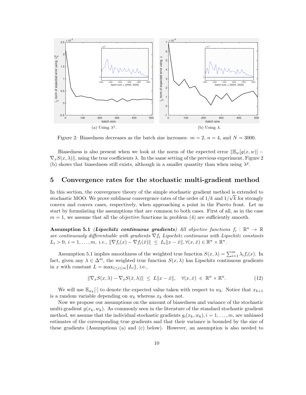

Figure 2: Biasedness decreases as the batch size increases:  $m = 2$ ,  $n = 4$ , and  $N = 3000$ .

Biasedness is also present when we look at the norm of the expected error  $\mathbb{E}_{w}[g(x, w)]$  –  $\nabla_x S(x, \lambda)$ , using the true coefficients  $\lambda$ . In the same setting of the previous experiment, Figure 2 (b) shows that biasedness still exists, although in a smaller quantity than when using  $\lambda^g$ .

## 5 Convergence rates for the stochastic multi-gradient method

In this section, the convergence theory of the simple stochastic gradient method is extended to stochastic MOO. We prove sublinear convergence rates of the order of  $1/k$  and  $1/\sqrt{k}$  for strongly convex and convex cases, respectively, when approaching a point in the Pareto front. Let us start by formulating the assumptions that are common to both cases. First of all, as in the case  $m = 1$ , we assume that all the objective functions in problem (4) are sufficiently smooth.

Assumption 5.1 (Lipschitz continuous gradients) All objective functions  $f_i : \mathbb{R}^n \to \mathbb{R}$ are continuously differentiable with gradients  $\nabla f_i$  Lipschitz continuous with Lipschitz constants  $L_i > 0, i = 1, ..., m, i.e., \|\nabla f_i(x) - \nabla f_i(\bar{x})\| \leq L_i \|x - \bar{x}\|, \forall (x, \bar{x}) \in \mathbb{R}^n \times \mathbb{R}^n.$ 

Assumption 5.1 implies smoothness of the weighted true function  $S(x, \lambda) = \sum_{i=1}^{m} \lambda_i f_i(x)$ . In fact, given any  $\lambda \in \Delta^m$ , the weighted true function  $S(x, \lambda)$  has Lipschitz continuous gradients in x with constant  $L = \max_{1 \leq i \leq m} \{L_i\}$ , i.e.,

$$
\|\nabla_x S(x,\lambda) - \nabla_x S(\bar{x},\lambda)\| \le L\|x - \bar{x}\|, \quad \forall (x,\bar{x}) \in \mathbb{R}^n \times \mathbb{R}^n. \tag{12}
$$

We will use  $\mathbb{E}_{w_k}[\cdot]$  to denote the expected value taken with respect to  $w_k$ . Notice that  $x_{k+1}$ is a random variable depending on  $w_k$  whereas  $x_k$  does not.

Now we propose our assumptions on the amount of biasedness and variance of the stochastic multi-gradient  $g(x_k, w_k)$ . As commonly seen in the literature of the standard stochastic gradient method, we assume that the individual stochastic gradients  $g_i(x_k, w_k)$ ,  $i = 1, \ldots, m$ , are unbiased estimates of the corresponding true gradients and that their variance is bounded by the size of these gradients (Assumptions (a) and (c) below). However, an assumption is also needed to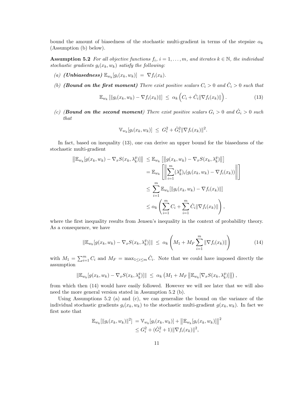bound the amount of biasedness of the stochastic multi-gradient in terms of the stepsize  $\alpha_k$ (Assumption (b) below).

**Assumption 5.2** For all objective functions  $f_i$ ,  $i = 1, \ldots, m$ , and iterates  $k \in \mathbb{N}$ , the individual stochastic gradients  $g_i(x_k, w_k)$  satisfy the following:

- (a) (**Unbiasedness**)  $\mathbb{E}_{w_k}[g_i(x_k, w_k)] = \nabla f_i(x_k)$ .
- (b) (**Bound on the first moment**) There exist positive scalars  $C_i > 0$  and  $\hat{C}_i > 0$  such that

$$
\mathbb{E}_{w_k} \left[ \left\| g_i(x_k, w_k) - \nabla f_i(x_k) \right\| \right] \leq \alpha_k \left( C_i + \hat{C}_i \|\nabla f_i(x_k)\| \right). \tag{13}
$$

(c) (**Bound on the second moment**) There exist positive scalars  $G_i > 0$  and  $\hat{G}_i > 0$  such that

$$
\mathbb{V}_{w_k}[g_i(x_k, w_k)] \ \leq \ G_i^2 + \hat{G}_i^2 \|\nabla f_i(x_k)\|^2.
$$

In fact, based on inequality (13), one can derive an upper bound for the biasedness of the stochastic multi-gradient

$$
\|\mathbb{E}_{w_k}[g(x_k, w_k) - \nabla_x S(x_k, \lambda_k^g)]\| \leq \mathbb{E}_{w_k} [\|g(x_k, w_k) - \nabla_x S(x_k, \lambda_k^g)\|]
$$
  
\n
$$
= \mathbb{E}_{w_k} \left[ \left\| \sum_{i=1}^m (\lambda_k^g)_i (g_i(x_k, w_k) - \nabla f_i(x_k)) \right\| \right]
$$
  
\n
$$
\leq \sum_{i=1}^m \mathbb{E}_{w_k} [\|g_i(x_k, w_k) - \nabla f_i(x_k)\|]
$$
  
\n
$$
\leq \alpha_k \left( \sum_{i=1}^m C_i + \sum_{i=1}^m \hat{C}_i \|\nabla f_i(x_k)\| \right),
$$

where the first inequality results from Jensen's inequality in the context of probability theory. As a consequence, we have

$$
\|\mathbb{E}_{w_k}[g(x_k, w_k) - \nabla_x S(x_k, \lambda_k^g)]\| \leq \alpha_k \left( M_1 + M_F \sum_{i=1}^m \|\nabla f_i(x_k)\|\right) \tag{14}
$$

with  $M_1 = \sum_{i=1}^m C_i$  and  $M_F = \max_{1 \leq i \leq m} \hat{C}_i$ . Note that we could have imposed directly the assumption

$$
\|\mathbb{E}_{w_k}[g(x_k, w_k) - \nabla_x S(x_k, \lambda_k^g)]\| \leq \alpha_k \left( M_1 + M_F \left\| \mathbb{E}_{w_k}[\nabla_x S(x_k, \lambda_k^g)] \right\| \right),
$$

from which then (14) would have easily followed. However we will see later that we will also need the more general version stated in Assumption 5.2 (b).

Using Assumptions 5.2 (a) and  $(c)$ , we can generalize the bound on the variance of the individual stochastic gradients  $g_i(x_k, w_k)$  to the stochastic multi-gradient  $g(x_k, w_k)$ . In fact we first note that

$$
\mathbb{E}_{w_k}[\|g_i(x_k, w_k)\|^2] = \mathbb{V}_{w_k}[g_i(x_k, w_k)] + \|\mathbb{E}_{w_k}[g_i(x_k, w_k)]\|^2
$$
  

$$
\leq G_i^2 + (\hat{G}_i^2 + 1) \|\nabla f_i(x_k)\|^2,
$$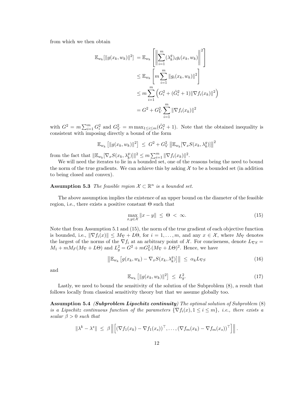from which we then obtain

$$
\mathbb{E}_{w_k}[\|g(x_k, w_k)\|^2] = \mathbb{E}_{w_k} \left[ \left\| \sum_{i=1}^m (\lambda_k^g)_i g_i(x_k, w_k) \right\|^2 \right]
$$
  
\n
$$
\leq \mathbb{E}_{w_k} \left[ m \sum_{i=1}^m \|g_i(x_k, w_k)\|^2 \right]
$$
  
\n
$$
\leq m \sum_{i=1}^m \left( G_i^2 + (\hat{G}_i^2 + 1) \|\nabla f_i(x_k)\|^2 \right)
$$
  
\n
$$
= G^2 + G_V^2 \sum_{i=1}^m \|\nabla f_i(x_k)\|^2
$$

with  $G^2 = m \sum_{i=1}^m G_i^2$  and  $G_V^2 = m \max_{1 \le i \le m} (\hat{G}_i^2 + 1)$ . Note that the obtained inequality is consistent with imposing directly a bound of the form

$$
\mathbb{E}_{w_k} [\|g(x_k, w_k)\|^2] \ \leq \ G^2 + G_V^2 \left\| \mathbb{E}_{w_k} [\nabla_x S(x_k, \lambda_k^g)] \right\|^2
$$

from the fact that  $\|\mathbb{E}_{w_k}[\nabla_x S(x_k, \lambda_k^g)]\|^2 \leq m \sum_{i=1}^m \|\nabla f_i(x_k)\|^2$ .

We will need the iterates to lie in a bounded set, one of the reasons being the need to bound the norm of the true gradients. We can achieve this by asking  $\mathcal X$  to be a bounded set (in addition to being closed and convex).

**Assumption 5.3** The feasible region  $\mathcal{X} \subset \mathbb{R}^n$  is a bounded set.

The above assumption implies the existence of an upper bound on the diameter of the feasible region, i.e., there exists a positive constant  $\Theta$  such that

$$
\max_{x,y\in\mathcal{X}}\|x-y\|\leq\Theta<\infty.\tag{15}
$$

Note that from Assumption 5.1 and (15), the norm of the true gradient of each objective function is bounded, i.e.,  $\|\nabla f_i(x)\| \leq M_{\nabla} + L\Theta$ , for  $i = 1, \ldots, m$ , and any  $x \in \mathcal{X}$ , where  $M_{\nabla}$  denotes the largest of the norms of the  $\nabla f_i$  at an arbitrary point of X. For conciseness, denote  $L_{\nabla S}$  =  $M_1 + mM_F(M_{\nabla} + L\Theta)$  and  $L_g^2 = G^2 + mG_V^2(M_{\nabla} + L\Theta)^2$ . Hence, we have

$$
\left\| \mathbb{E}_{w_k} \left[ g(x_k, w_k) - \nabla_x S(x_k, \lambda_k^g) \right] \right\| \leq \alpha_k L_{\nabla S} \tag{16}
$$

and

$$
\mathbb{E}_{w_k} \left[ \|g(x_k, w_k)\|^2 \right] \le L_g^2. \tag{17}
$$

Lastly, we need to bound the sensitivity of the solution of the Subproblem (8), a result that follows locally from classical sensitivity theory but that we assume globally too.

Assumption 5.4 *(Subproblem Lipschitz continuity)* The optimal solution of Subproblem  $(8)$ is a Lipschitz continuous function of the parameters  $\{\nabla f_i(x), 1 \leq i \leq m\}$ , i.e., there exists a scalar  $\beta > 0$  such that

$$
\|\lambda^k - \lambda^s\| \leq \beta \left\| \left[ (\nabla f_1(x_k) - \nabla f_1(x_s))^{\top}, \ldots, (\nabla f_m(x_k) - \nabla f_m(x_s))^{\top} \right] \right\|.
$$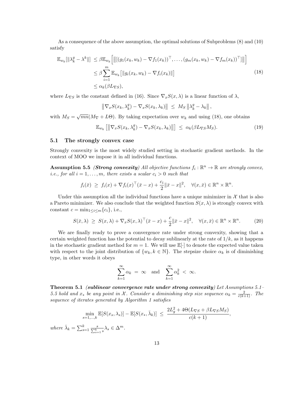As a consequence of the above assumption, the optimal solutions of Subproblems (8) and (10) satisfy

$$
\mathbb{E}_{w_k}[\|\lambda_k^g - \lambda^k\|] \leq \beta \mathbb{E}_{w_k} \Big[ \big\| [(g_1(x_k, w_k) - \nabla f_1(x_k))^{\top}, \dots, (g_m(x_k, w_k) - \nabla f_m(x_k))^{\top}] \big\| \Big] \n\leq \beta \sum_{i=1}^m \mathbb{E}_{w_k} [\|g_i(x_k, w_k) - \nabla f_i(x_k)\|] \n\leq \alpha_k(\beta L_{\nabla S}),
$$
\n(18)

where  $L_{\nabla S}$  is the constant defined in (16). Since  $\nabla_x S(x,\lambda)$  is a linear function of  $\lambda$ ,

$$
\left\|\nabla_x S(x_k, \lambda_k^g) - \nabla_x S(x_k, \lambda_k)\right\| \leq M_S \left\|\lambda_k^g - \lambda_k\right\|,
$$

with  $M_S = \sqrt{mn}(M_{\nabla} + L\Theta)$ . By taking expectation over  $w_k$  and using (18), one obtains

$$
\mathbb{E}_{w_k} \left[ \left\| \nabla_x S(x_k, \lambda_k^g) - \nabla_x S(x_k, \lambda_k) \right\| \right] \leq \alpha_k(\beta L_{\nabla S} M_S). \tag{19}
$$

#### 5.1 The strongly convex case

Strongly convexity is the most widely studied setting in stochastic gradient methods. In the context of MOO we impose it in all individual functions.

**Assumption 5.5** *(Strong convexity)* All objective functions  $f_i : \mathbb{R}^n \to \mathbb{R}$  are strongly convex, *i.e.*, for all  $i = 1, \ldots, m$ , there exists a scalar  $c_i > 0$  such that

$$
f_i(\bar{x}) \geq f_i(x) + \nabla f_i(x)^\top (\bar{x} - x) + \frac{c_i}{2} ||\bar{x} - x||^2, \quad \forall (x, \bar{x}) \in \mathbb{R}^n \times \mathbb{R}^n.
$$

Under this assumption all the individual functions have a unique minimizer in  $\mathcal X$  that is also a Pareto minimizer. We also conclude that the weighted function  $S(x, \lambda)$  is strongly convex with constant  $c = \min_{1 \leq i \leq m} \{c_i\}$ , i.e.,

$$
S(\bar{x}, \lambda) \geq S(x, \lambda) + \nabla_x S(x, \lambda)^\top (\bar{x} - x) + \frac{c}{2} ||\bar{x} - x||^2, \quad \forall (x, \bar{x}) \in \mathbb{R}^n \times \mathbb{R}^n. \tag{20}
$$

We are finally ready to prove a convergence rate under strong convexity, showing that a certain weighted function has the potential to decay sublinearly at the rate of  $1/k$ , as it happens in the stochastic gradient method for  $m = 1$ . We will use  $\mathbb{E}[\cdot]$  to denote the expected value taken with respect to the joint distribution of  $\{w_k, k \in \mathbb{N}\}$ . The stepsize choice  $\alpha_k$  is of diminishing type, in other words it obeys

$$
\sum_{k=1}^{\infty} \alpha_k = \infty \quad \text{and} \quad \sum_{k=1}^{\infty} \alpha_k^2 < \infty.
$$

Theorem 5.1 (sublinear convergence rate under strong convexity) Let Assumptions 5.1– 5.5 hold and  $x_*$  be any point in X. Consider a diminishing step size sequence  $\alpha_k = \frac{2}{c(k+1)}$ . The sequence of iterates generated by Algorithm 1 satisfies

$$
\min_{s=1,\dots,k} \mathbb{E}[S(x_s, \lambda_s)] - \mathbb{E}[S(x_*, \bar{\lambda}_k)] \le \frac{2L_g^2 + 4\Theta(L_{\nabla S} + \beta L_{\nabla S}M_S)}{c(k+1)},
$$
  

$$
k = \sum_{s=1}^k \frac{s}{\sum_{s=1}^k \lambda_s} \in \Delta^m.
$$

where  $\bar{\lambda}_k =$  $rac{s}{s=1} \frac{s}{\sum_{s=1}^{k} s}$  $\lambda_s \in \Delta^m$ .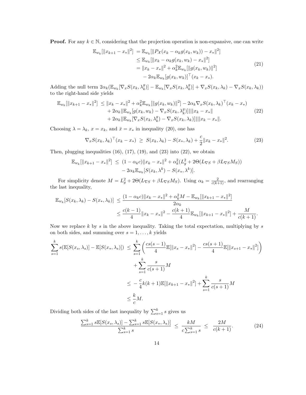**Proof.** For any  $k \in \mathbb{N}$ , considering that the projection operation is non-expansive, one can write

$$
\mathbb{E}_{w_k}[\|x_{k+1} - x_*\|^2] = \mathbb{E}_{w_k}[\|P_{\mathcal{X}}(x_k - \alpha_k g(x_k, w_k)) - x_*\|^2] \n\leq \mathbb{E}_{w_k}[\|x_k - \alpha_k g(x_k, w_k) - x_*\|^2] \n= \|x_k - x_*\|^2 + \alpha_k^2 \mathbb{E}_{w_k}[\|g(x_k, w_k)\|^2] \n- 2\alpha_k \mathbb{E}_{w_k}[g(x_k, w_k)]^\top (x_k - x_*).
$$
\n(21)

Adding the null term  $2\alpha_k (\mathbb{E}_{w_k} [\nabla_x S(x_k, \lambda_k^g)] - \mathbb{E}_{w_k} [\nabla_x S(x_k, \lambda_k^g)] + \nabla_x S(x_k, \lambda_k) - \nabla_x S(x_k, \lambda_k))$ to the right-hand side yields

$$
\mathbb{E}_{w_k}[\|x_{k+1} - x_{*}\|^2] \le \|x_k - x_{*}\|^2 + \alpha_k^2 \mathbb{E}_{w_k}[\|g(x_k, w_k)\|^2] - 2\alpha_k \nabla_x S(x_k, \lambda_k)^\top (x_k - x_{*}) + 2\alpha_k \|\mathbb{E}_{w_k}[g(x_k, w_k) - \nabla_x S(x_k, \lambda_k^g)]\| \|x_k - x_{*}\| + 2\alpha_k \|\mathbb{E}_{w_k}[\nabla_x S(x_k, \lambda_k^g) - \nabla_x S(x_k, \lambda_k)]\| \|x_k - x_{*}\|.
$$
\n(22)

Choosing  $\lambda = \lambda_k$ ,  $x = x_k$ , and  $\bar{x} = x_*$  in inequality (20), one has

$$
\nabla_x S(x_k, \lambda_k)^\top (x_k - x_*) \geq S(x_k, \lambda_k) - S(x_*, \lambda_k) + \frac{c}{2} \|x_k - x_*\|^2.
$$
 (23)

Then, plugging inequalities  $(16)$ ,  $(17)$ ,  $(19)$ , and  $(23)$  into  $(22)$ , we obtain

$$
\mathbb{E}_{w_k}[\|x_{k+1} - x_*\|^2] \le (1 - \alpha_k c) \|x_k - x_*\|^2 + \alpha_k^2 (L_g^2 + 2\Theta(L_{\nabla S} + \beta L_{\nabla S} M_S)) - 2\alpha_k \mathbb{E}_{w_k}[S(x_k, \lambda^k) - S(x_*, \lambda^k)].
$$

For simplicity denote  $M = L_g^2 + 2\Theta(L_{\nabla S} + \beta L_{\nabla S}M_S)$ . Using  $\alpha_k = \frac{2}{c(k+1)}$ , and rearranging the last inequality,

$$
\mathbb{E}_{w_k}[S(x_k, \lambda_k) - S(x_*, \lambda_k)] \leq \frac{(1 - \alpha_k c) \|x_k - x_*\|^2 + \alpha_k^2 M - \mathbb{E}_{w_k}[\|x_{k+1} - x_*\|^2]}{2\alpha_k}
$$
  

$$
\leq \frac{c(k-1)}{4} \|x_k - x_*\|^2 - \frac{c(k+1)}{4} \mathbb{E}_{w_k}[\|x_{k+1} - x_*\|^2] + \frac{M}{c(k+1)}.
$$

Now we replace  $k$  by  $s$  in the above inequality. Taking the total expectation, multiplying by  $s$ on both sides, and summing over  $s = 1, \ldots, k$  yields

$$
\sum_{s=1}^{k} s(\mathbb{E}[S(x_s, \lambda_s)] - \mathbb{E}[S(x_*, \lambda_s)]) \le \sum_{s=1}^{k} \left( \frac{cs(s-1)}{4} \mathbb{E}[\|x_s - x_*\|^2] - \frac{cs(s+1)}{4} \mathbb{E}[\|x_{s+1} - x_*\|^2] \right) \n+ \sum_{s=1}^{k} \frac{s}{c(s+1)} M \n\le -\frac{c}{4} k(k+1) \mathbb{E}[\|x_{k+1} - x_*\|^2] + \sum_{s=1}^{k} \frac{s}{c(s+1)} M \n\le \frac{k}{c} M.
$$

Dividing both sides of the last inequality by  $\sum_{s=1}^{k} s$  gives us

$$
\frac{\sum_{s=1}^{k} s \mathbb{E}[S(x_s, \lambda_s)] - \sum_{s=1}^{k} s \mathbb{E}[S(x_*, \lambda_s)]}{\sum_{s=1}^{k} s} \le \frac{kM}{c \sum_{s=1}^{k} s} \le \frac{2M}{c(k+1)}.
$$
 (24)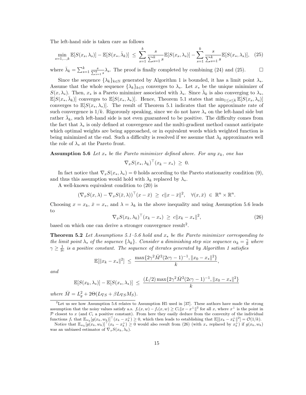The left-hand side is taken care as follows

$$
\min_{s=1,\dots,k} \mathbb{E}[S(x_s, \lambda_s)] - \mathbb{E}[S(x_*, \bar{\lambda}_k)] \le \sum_{s=1}^k \frac{s}{\sum_{s=1}^k s} \mathbb{E}[S(x_s, \lambda_s)] - \sum_{s=1}^k \frac{s}{\sum_{s=1}^k s} \mathbb{E}[S(x_*, \lambda_s)], \quad (25)
$$

where  $\bar{\lambda}_k = \sum_{s=1}^k \frac{s}{\sum_{s=1}^k s} \lambda_s$ . The proof is finally completed by combining (24) and (25).

Since the sequence  $\{\lambda_k\}_{k\in\mathbb{N}}$  generated by Algorithm 1 is bounded, it has a limit point  $\lambda_*$ . Assume that the whole sequence  $\{\lambda_k\}_{k\in\mathbb{N}}$  converges to  $\lambda_*$ . Let  $x_*$  be the unique minimizer of  $S(x, \lambda_*)$ . Then,  $x_*$  is a Pareto minimizer associated with  $\lambda_*$ . Since  $\bar{\lambda}_k$  is also converging to  $\lambda_*,$  $\mathbb{E}[S(x_*,\bar{\lambda}_k)]$  converges to  $\mathbb{E}[S(x_*,\lambda_*)]$ . Hence, Theorem 5.1 states that  $\min_{1\leq s\leq k} \mathbb{E}[S(x_s,\lambda_s)]$ converges to  $\mathbb{E}[S(x_*,\lambda_*)]$ . The result of Theorem 5.1 indicates that the approximate rate of such convergence is  $1/k$ . Rigorously speaking, since we do not have  $\lambda_*$  on the left-hand side but rather  $\bar{\lambda}_k$ , such left-hand side is not even guaranteed to be positive. The difficulty comes from the fact that  $\lambda_*$  is only defined at convergence and the multi-gradient method cannot anticipate which optimal weights are being approached, or in equivalent words which weighted function is being minimized at the end. Such a difficulty is resolved if we assume that  $\lambda_k$  approximates well the role of  $\lambda_*$  at the Pareto front.

**Assumption 5.6** Let  $x_*$  be the Pareto minimizer defined above. For any  $x_k$ , one has

$$
\nabla_x S(x_*, \lambda_k)^\top (x_k - x_*) \geq 0.
$$

In fact notice that  $\nabla_x S(x_*, \lambda_*) = 0$  holds according to the Pareto stationarity condition (9), and thus this assumption would hold with  $\lambda_k$  replaced by  $\lambda_*$ .

A well-known equivalent condition to (20) is

$$
(\nabla_x S(x,\lambda) - \nabla_x S(\bar{x},\lambda))^\top (x-\bar{x}) \geq c \|x-\bar{x}\|^2, \quad \forall (x,\bar{x}) \in \mathbb{R}^n \times \mathbb{R}^n.
$$

Choosing  $x = x_k$ ,  $\bar{x} = x_*$ , and  $\lambda = \lambda_k$  in the above inequality and using Assumption 5.6 leads to

$$
\nabla_x S(x_k, \lambda_k)^\top (x_k - x_*) \geq c \|x_k - x_*\|^2,
$$
\n(26)

,

based on which one can derive a stronger convergence result<sup>2</sup>.

**Theorem 5.2** Let Assumptions 5.1–5.6 hold and  $x_*$  be the Pareto minimizer corresponding to the limit point  $\lambda_*$  of the sequence  $\{\lambda_k\}$ . Consider a diminishing step size sequence  $\alpha_k = \frac{\gamma}{k}$  where  $\gamma \geq \frac{1}{2c}$  is a positive constant. The sequence of iterates generated by Algorithm 1 satisfies

$$
\mathbb{E}[\|x_k - x_*\|^2] \ \leq \ \frac{\max\{2\gamma^2 \bar{M}^2 (2c\gamma - 1)^{-1}, \|x_0 - x_*\|^2\}}{k}
$$

and

$$
\mathbb{E}[S(x_k, \lambda_*)] - \mathbb{E}[S(x_*, \lambda_*)] \le \frac{(L/2) \max\{2\gamma^2 \bar{M}^2 (2c\gamma - 1)^{-1}, ||x_0 - x_*||^2\}}{k}
$$

where  $\overline{M} = L_g^2 + 2\Theta(L_{\nabla S} + \beta L_{\nabla S} M_S).$ 

<sup>2</sup>Let us see how Assumption 5.6 relates to Assumption H5 used in [37]. These authors have made the strong assumption that the noisy values satisfy a.s.  $f_i(x, w) - f_i(x, w) \ge C_i ||x - x^{\perp}||^2$  for all x, where  $x^{\perp}$  is the point in P closest to x (and  $C_i$  a positive constant). From here they easily deduce from the convexity of the individual functions  $f_i$  that  $\mathbb{E}_{w_k}[g(x_k, w_k)]^{\top}(x_k - x_k^{\perp}) \geq 0$ , which then leads to establishing that  $\mathbb{E}[\|x_k - x_k^{\perp}\|^2] = \mathcal{O}(1/k)$ .

Notice that  $\mathbb{E}_{w_k}[g(x_k, w_k)] \mid (x_k - x_k^{\perp}) \geq 0$  would also result from (26) (with  $x_*$  replaced by  $x_k^{\perp}$ ) if  $g(x_k, w_k)$ was an unbiased estimator of  $\nabla_x S(x_k, \lambda_k)$ .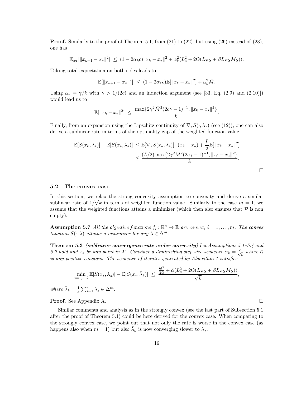**Proof.** Similarly to the proof of Theorem 5.1, from  $(21)$  to  $(22)$ , but using  $(26)$  instead of  $(23)$ , one has

$$
\mathbb{E}_{w_k}[\|x_{k+1}-x_*\|^2] \le (1-2\alpha_k c)\|x_k-x_*\|^2 + \alpha_k^2 (L_g^2 + 2\Theta(L_{\nabla S} + \beta L_{\nabla S} M_S)).
$$

Taking total expectation on both sides leads to

$$
\mathbb{E}[\|x_{k+1} - x_*\|^2] \le (1 - 2\alpha_k c) \mathbb{E}[\|x_k - x_*\|^2] + \alpha_k^2 \overline{M}.
$$

Using  $\alpha_k = \gamma/k$  with  $\gamma > 1/(2c)$  and an induction argument (see [33, Eq. (2.9) and (2.10)]) would lead us to

$$
\mathbb{E}[\|x_k - x_*\|^2] \ \leq \ \frac{\max\{2\gamma^2 \bar{M}^2 (2c\gamma - 1)^{-1}, \|x_0 - x_*\|^2\}}{k}.
$$

Finally, from an expansion using the Lipschitz continuity of  $\nabla_x S(\cdot, \lambda_*)$  (see (12)), one can also derive a sublinear rate in terms of the optimality gap of the weighted function value

$$
\mathbb{E}[S(x_k, \lambda_*)] - \mathbb{E}[S(x_*, \lambda_*)] \leq \mathbb{E}[\nabla_x S(x_*, \lambda_*)]^{\top} (x_k - x_*) + \frac{L}{2} \mathbb{E}[\|x_k - x_*\|^2] \leq \frac{(L/2) \max\{2\gamma^2 \bar{M}^2 (2c\gamma - 1)^{-1}, \|x_0 - x_*\|^2\}}{k}.
$$

5.2 The convex case

In this section, we relax the strong convexity assumption to convexity and derive a similar sublinear rate of  $1/\sqrt{k}$  in terms of weighted function value. Similarly to the case  $m = 1$ , we assume that the weighted functions attains a minimizer (which then also ensures that  $P$  is non empty).

**Assumption 5.7** All the objective functions  $f_i : \mathbb{R}^n \to \mathbb{R}$  are convex,  $i = 1, ..., m$ . The convex function  $S(\cdot, \lambda)$  attains a minimizer for any  $\lambda \in \Delta^m$ .

Theorem 5.3 (sublinear convergence rate under convexity) Let Assumptions 5.1–5.4 and 5.7 hold and  $x_*$  be any point in X. Consider a diminishing step size sequence  $\alpha_k = \frac{\bar{\alpha}}{\sqrt{k}}$  where  $\bar{\alpha}$ is any positive constant. The sequence of iterates generated by Algorithm 1 satisfies

$$
\min_{s=1,\dots,k} \mathbb{E}[S(x_s, \lambda_s)] - \mathbb{E}[S(x_*, \bar{\lambda}_k)] \le \frac{\frac{\Theta^2}{2\bar{\alpha}} + \bar{\alpha}(L_g^2 + 2\Theta(L_{\nabla S} + \beta L_{\nabla S}M_S))}{\sqrt{k}},
$$
  
=  $\frac{1}{2} \sum_{k=1}^k \lambda_k \in \Lambda^m$ 

where  $\bar{\lambda}_k = \frac{1}{k} \sum_{s=1}^k \lambda_s \in \Delta^m$ .

**Proof.** See Appendix A. □

Similar comments and analysis as in the strongly convex (see the last part of Subsection 5.1 after the proof of Theorem 5.1) could be here derived for the convex case. When comparing to the strongly convex case, we point out that not only the rate is worse in the convex case (as happens also when  $m = 1$ ) but also  $\bar{\lambda}_k$  is now converging slower to  $\lambda_*$ .

 $\Box$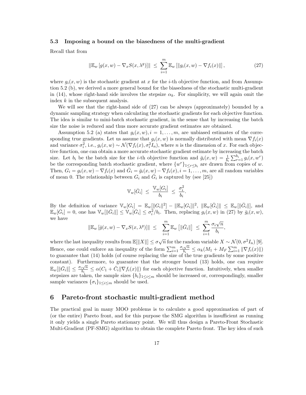#### 5.3 Imposing a bound on the biasedness of the multi-gradient

Recall that from

$$
\|\mathbb{E}_w\left[g(x,w) - \nabla_x S(x,\lambda^g)\right]\| \le \sum_{i=1}^m \mathbb{E}_w\left[\|g_i(x,w) - \nabla f_i(x)\|\right],\tag{27}
$$

where  $g_i(x, w)$  is the stochastic gradient at x for the i-th objective function, and from Assumption 5.2 (b), we derived a more general bound for the biasedness of the stochastic multi-gradient in (14), whose right-hand side involves the stepsize  $\alpha_k$ . For simplicity, we will again omit the index k in the subsequent analysis.

We will see that the right-hand side of (27) can be always (approximately) bounded by a dynamic sampling strategy when calculating the stochastic gradients for each objective function. The idea is similar to mini-batch stochastic gradient, in the sense that by increasing the batch size the noise is reduced and thus more accurate gradient estimates are obtained.

Assumption 5.2 (a) states that  $q_i(x, w), i = 1, \ldots, m$ , are unbiased estimates of the corresponding true gradients. Let us assume that  $g_i(x, w)$  is normally distributed with mean  $\nabla f_i(x)$ and variance  $\sigma_i^2$ , i.e.,  $g_i(x, w) \sim \mathcal{N}(\nabla f_i(x), \sigma_i^2 I_n)$ , where n is the dimension of x. For each objective function, one can obtain a more accurate stochastic gradient estimate by increasing the batch size. Let  $b_i$  be the batch size for the *i*-th objective function and  $\bar{g}_i(x,w) = \frac{1}{b_i} \sum_{r=1}^{b_i} g_i(x,w^r)$ be the corresponding batch stochastic gradient, where  $\{w^r\}_{1 \leq r \leq b_i}$  are drawn from copies of w. Then,  $G_i = g_i(x, w) - \nabla f_i(x)$  and  $\overline{G}_i = \overline{g}_i(x, w) - \nabla f_i(x), i = 1, \ldots, m$ , are all random variables of mean 0. The relationship between  $G_i$  and  $\overline{G}_i$  is captured by (see [25])

$$
\mathbb{V}_w[\bar{G}_i] \ \leq \ \frac{\mathbb{V}_w[G_i]}{b_i} \ \leq \ \frac{\sigma_i^2}{b_i}.
$$

By the definition of variance  $\mathbb{V}_w[G_i] = \mathbb{E}_w[\|G_i\|^2] - \|\mathbb{E}_w[G_i\|^2, \| \mathbb{E}_w[\bar{G}_i\] \| \leq \mathbb{E}_w[\|\bar{G}_i\|],$  and  $\mathbb{E}_w[\bar{G}_i] = 0$ , one has  $\mathbb{V}_w[[\bar{G}_i]] \leq \mathbb{V}_w[\bar{G}_i] \leq \sigma_i^2/b_i$ . Then, replacing  $g_i(x, w)$  in (27) by  $\bar{g}_i(x, w)$ , we have

$$
\|\mathbb{E}_w\left[\bar{g}(x,w)-\nabla_xS(x,\lambda^g)\right]\|\ \leq\ \ \sum_{i=1}^m\mathbb{E}_w\left[\|\bar{G}_i\|\right]\ \leq\ \sum_{i=1}^m\frac{\sigma_i\sqrt{n}}{b_i},
$$

where the last inequality results from  $\mathbb{E}[\|X\|] \leq \sigma \sqrt{n}$  for the random variable  $X \sim \mathcal{N}(0, \sigma^2 I_n)$  [9]. Hence, one could enforce an inequality of the form  $\sum_{i=1}^{m} \frac{\sigma_i \sqrt{n}}{b_i}$  $\frac{\sum_{i=1}^{N} \| \nabla f_i(x) \|}{b_i} \leq \alpha_k (M_1 + M_F \sum_{i=1}^m \| \nabla f_i(x) \|)$ to guarantee that (14) holds (of course replacing the size of the true gradients by some positive constant). Furthermore, to guarantee that the stronger bound (13) holds, one can require  $\mathbb{E}_w[\|\bar{G}_i\|] \leq \frac{\sigma_i\sqrt{n}}{b_i}$  $\frac{\sqrt{n}}{b_i} \leq \alpha(C_1 + \hat{C}_i || \nabla f_i(x) ||)$  for each objective function. Intuitively, when smaller stepsizes are taken, the sample sizes  $\{b_i\}_{1\leq i\leq m}$  should be increased or, correspondingly, smaller sample variances  $\{\sigma_i\}_{1\leq i\leq m}$  should be used.

## 6 Pareto-front stochastic multi-gradient method

The practical goal in many MOO problems is to calculate a good approximation of part of (or the entire) Pareto front, and for this purpose the SMG algorithm is insufficient as running it only yields a single Pareto stationary point. We will thus design a Pareto-Front Stochastic Multi-Gradient (PF-SMG) algorithm to obtain the complete Pareto front. The key idea of such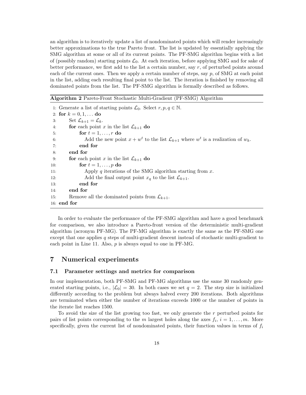an algorithm is to iteratively update a list of nondominated points which will render increasingly better approximations to the true Pareto front. The list is updated by essentially applying the SMG algorithm at some or all of its current points. The PF-SMG algorithm begins with a list of (possibly random) starting points  $\mathcal{L}_0$ . At each iteration, before applying SMG and for sake of better performance, we first add to the list a certain number, say  $r$ , of perturbed points around each of the current ones. Then we apply a certain number of steps, say  $p$ , of SMG at each point in the list, adding each resulting final point to the list. The iteration is finished by removing all dominated points from the list. The PF-SMG algorithm is formally described as follows.

Algorithm 2 Pareto-Front Stochastic Multi-Gradient (PF-SMG) Algorithm

1: Generate a list of starting points  $\mathcal{L}_0$ . Select  $r, p, q \in \mathbb{N}$ . 2: for  $k = 0, 1, ...$  do 3: Set  $\mathcal{L}_{k+1} = \mathcal{L}_k$ . 4: **for** each point x in the list  $\mathcal{L}_{k+1}$  do 5: for  $t = 1, \ldots, r$  do 6: Add the new point  $x + w^t$  to the list  $\mathcal{L}_{k+1}$  where  $w^t$  is a realization of  $w_k$ . 7: end for 8: end for 9: **for** each point x in the list  $\mathcal{L}_{k+1}$  do 10: for  $t = 1, \ldots, p$  do 11: Apply q iterations of the SMG algorithm starting from  $x$ . 12: Add the final output point  $x_q$  to the list  $\mathcal{L}_{k+1}$ .<br>13: **end for** end for 14: end for 15: Remove all the dominated points from  $\mathcal{L}_{k+1}$ . 16: end for

In order to evaluate the performance of the PF-SMG algorithm and have a good benchmark for comparison, we also introduce a Pareto-front version of the deterministic multi-gradient algorithm (acronym PF-MG). The PF-MG algorithm is exactly the same as the PF-SMG one except that one applies q steps of multi-gradient descent instead of stochastic multi-gradient to each point in Line 11. Also,  $p$  is always equal to one in PF-MG.

## 7 Numerical experiments

#### 7.1 Parameter settings and metrics for comparison

In our implementation, both PF-SMG and PF-MG algorithms use the same 30 randomly generated starting points, i.e.,  $|\mathcal{L}_0| = 30$ . In both cases we set  $q = 2$ . The step size is initialized differently according to the problem but always halved every 200 iterations. Both algorithms are terminated when either the number of iterations exceeds 1000 or the number of points in the iterate list reaches 1500.

To avoid the size of the list growing too fast, we only generate the  $r$  perturbed points for pairs of list points corresponding to the m largest holes along the axes  $f_i$ ,  $i = 1, \ldots, m$ . More specifically, given the current list of nondominated points, their function values in terms of  $f_i$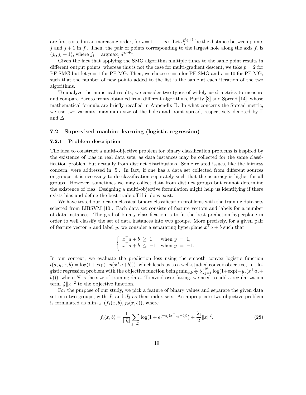are first sorted in an increasing order, for  $i = 1, \ldots, m$ . Let  $d_i^{j, j+1}$  $i^{j,j+1}$  be the distance between points j and  $j+1$  in  $f_i$ . Then, the pair of points corresponding to the largest hole along the axis  $f_i$  is  $(j_i, j_i + 1)$ , where  $j_i = \text{argmax}_j d_i^{j, j+1}$  $i^{j,j+1}$ .

Given the fact that applying the SMG algorithm multiple times to the same point results in different output points, whereas this is not the case for multi-gradient descent, we take  $p = 2$  for PF-SMG but let  $p = 1$  for PF-MG. Then, we choose  $r = 5$  for PF-SMG and  $r = 10$  for PF-MG, such that the number of new points added to the list is the same at each iteration of the two algorithms.

To analyze the numerical results, we consider two types of widely-used metrics to measure and compare Pareto fronts obtained from different algorithms, Purity [3] and Spread [14], whose mathematical formula are briefly recalled in Appendix B. In what concerns the Spread metric, we use two variants, maximum size of the holes and point spread, respectively denoted by Γ and  $\Delta$ .

## 7.2 Supervised machine learning (logistic regression)

#### 7.2.1 Problem description

The idea to construct a multi-objective problem for binary classification problems is inspired by the existence of bias in real data sets, as data instances may be collected for the same classification problem but actually from distinct distributions. Some related issues, like the fairness concern, were addressed in [5]. In fact, if one has a data set collected from different sources or groups, it is necessary to do classification separately such that the accuracy is higher for all groups. However, sometimes we may collect data from distinct groups but cannot determine the existence of bias. Designing a multi-objective formulation might help us identifying if there exists bias and define the best trade off if it does exist.

We have tested our idea on classical binary classification problems with the training data sets selected from LIBSVM [10]. Each data set consists of feature vectors and labels for a number of data instances. The goal of binary classification is to fit the best prediction hyperplane in order to well classify the set of data instances into two groups. More precisely, for a given pair of feature vector a and label y, we consider a separating hyperplane  $x^{\dagger} a + b$  such that

$$
\begin{cases} x^{\top}a + b \ge 1 & \text{when } y = 1, \\ x^{\top}a + b \le -1 & \text{when } y = -1. \end{cases}
$$

In our context, we evaluate the prediction loss using the smooth convex logistic function  $l(a, y; x, b) = \log(1 + \exp(-y(x^\top a + b)))$ , which leads us to a well-studied convex objective, i.e., logistic regression problem with the objective function being  $\min_{x,b} \frac{1}{N} \sum_{j=1}^N \log(1+\exp(-y_j(x^\top a_j+\n$ b)), where N is the size of training data. To avoid over-fitting, we need to add a regularization term  $\frac{\lambda}{2}||x||^2$  to the objective function.

For the purpose of our study, we pick a feature of binary values and separate the given data set into two groups, with  $J_1$  and  $J_2$  as their index sets. An appropriate two-objective problem is formulated as  $\min_{x,b} (f_1(x, b), f_2(x, b))$ , where

$$
f_i(x,b) = \frac{1}{|J_i|} \sum_{j \in J_i} \log(1 + e^{(-y_j(x^\top a_j + b))}) + \frac{\lambda_i}{2} ||x||^2.
$$
 (28)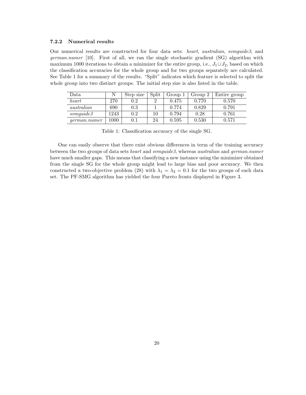#### 7.2.2 Numerical results

Our numerical results are constructed for four data sets: heart, australian, svmguide3, and german.numer [10]. First of all, we ran the single stochastic gradient (SG) algorithm with maximum 1000 iterations to obtain a minimizer for the entire group, i.e.,  $J_1 \cup J_2$ , based on which the classification accuracies for the whole group and for two groups separately are calculated. See Table 1 for a summary of the results. "Split" indicates which feature is selected to split the whole group into two distinct groups. The initial step size is also listed in the table.

| Data.               |      | Step size | Split | Group 1 | Group 2 | Entire group |
|---------------------|------|-----------|-------|---------|---------|--------------|
| heart               | 270  | 0.2       |       | 0.475   | 0.770   | 0.570        |
| australian          | 690  | $0.3\,$   |       | 0.774   | 0.829   | 0.791        |
| <i>symguide3</i>    | 1243 | 0.2       | 10    | 0.794   | 0.28    | 0.761        |
| <i>german.numer</i> | 1000 | $\rm 0.1$ | 24    | 0.595   | 0.530   | 0.571        |

Table 1: Classification accuracy of the single SG.

One can easily observe that there exist obvious differences in term of the training accuracy between the two groups of data sets heart and svmguide3, whereas australian and german.numer have much smaller gaps. This means that classifying a new instance using the minimizer obtained from the single SG for the whole group might lead to large bias and poor accuracy. We then constructed a two-objective problem (28) with  $\lambda_1 = \lambda_2 = 0.1$  for the two groups of each data set. The PF-SMG algorithm has yielded the four Pareto fronts displayed in Figure 3.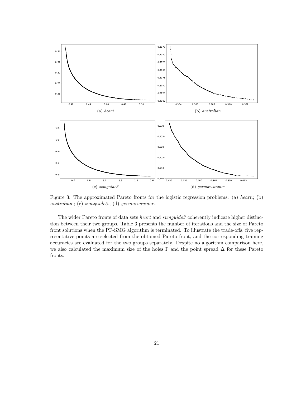

Figure 3: The approximated Pareto fronts for the logistic regression problems: (a) heart.; (b) australian,; (c) svmguide3.; (d) german.numer..

The wider Pareto fronts of data sets *heart* and *svmguide3* coherently indicate higher distinction between their two groups. Table 3 presents the number of iterations and the size of Pareto front solutions when the PF-SMG algorithm is terminated. To illustrate the trade-offs, five representative points are selected from the obtained Pareto front, and the corresponding training accuracies are evaluated for the two groups separately. Despite no algorithm comparison here, we also calculated the maximum size of the holes  $\Gamma$  and the point spread  $\Delta$  for these Pareto fronts.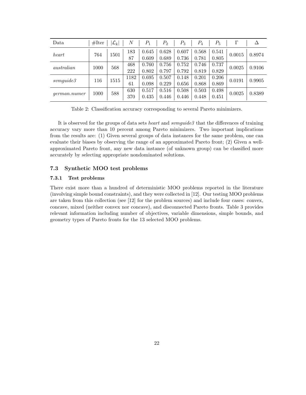| Data                | #Iter | $ \mathcal{L}_k $ | $_{N}$ | $P_1$ | $P_{2}$ | $P_3$ | $P_4$ | $P_5$ |        | Δ      |
|---------------------|-------|-------------------|--------|-------|---------|-------|-------|-------|--------|--------|
| heart               | 764   | 1501              | 183    | 0.645 | 0.628   | 0.607 | 0.568 | 0.541 | 0.0015 | 0.8974 |
|                     |       |                   | 87     | 0.609 | 0.689   | 0.736 | 0.781 | 0.805 |        |        |
| australian          | 1000  |                   | 468    | 0.760 | 0.756   | 0.752 | 0.746 | 0.737 | 0.0025 |        |
|                     |       | 568               | 222    | 0.802 | 0.797   | 0.792 | 0.819 | 0.829 |        | 0.9106 |
| sumguide3           | 116   | 1515              | 1182   | 0.695 | 0.507   | 0.148 | 0.201 | 0.206 | 0.0191 | 0.9905 |
|                     |       |                   | 61     | 0.098 | 0.229   | 0.656 | 0.868 | 0.869 |        |        |
| <i>german.numer</i> | 1000  |                   | 630    | 0.517 | 0.516   | 0.508 | 0.503 | 0.498 | 0.0025 | 0.8389 |
|                     |       | 588               | 370    | 0.435 | 0.446   | 0.446 | 0.448 | 0.451 |        |        |

Table 2: Classification accuracy corresponding to several Pareto minimizers.

It is observed for the groups of data sets *heart* and  $symquide3$  that the differences of training accuracy vary more than 10 percent among Pareto minimizers. Two important implications from the results are: (1) Given several groups of data instances for the same problem, one can evaluate their biases by observing the range of an approximated Pareto front; (2) Given a wellapproximated Pareto front, any new data instance (of unknown group) can be classified more accurately by selecting appropriate nondominated solutions.

#### 7.3 Synthetic MOO test problems

#### 7.3.1 Test problems

There exist more than a hundred of deterministic MOO problems reported in the literature (involving simple bound constraints), and they were collected in [12]. Our testing MOO problems are taken from this collection (see [12] for the problem sources) and include four cases: convex, concave, mixed (neither convex nor concave), and disconnected Pareto fronts. Table 3 provides relevant information including number of objectives, variable dimensions, simple bounds, and geometry types of Pareto fronts for the 13 selected MOO problems.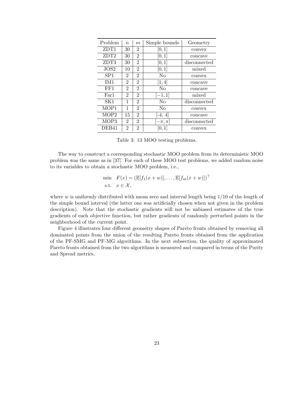| Problem          | $\boldsymbol{n}$ | m              | Simple bounds     | Geometry     |
|------------------|------------------|----------------|-------------------|--------------|
| ZDT1             | 30               | $\mathfrak{D}$ | [0, 1]            | convex       |
| ZDT <sub>2</sub> | 30               | 2              | [0,1]             | concave      |
| ZDT3             | 30               | $\overline{2}$ | [0,1]             | disconnected |
| JOS2             | 10               | $\overline{2}$ | [0, 1]            | mixed        |
| SP <sub>1</sub>  | 2                | $\overline{2}$ | No                | convex       |
| TM1              | $\overline{2}$   | $\mathfrak{D}$ | [1, 4]            | concave      |
| FF1              | 2                | 2              | $\rm No$          | concave      |
| Far1             | 2                | 2              | $[-1, 1]$         | mixed        |
| SK1              | 1                | $\overline{2}$ | $\rm No$          | disconnected |
| MOP1             | 1                | $\overline{2}$ | No                | convex       |
| MOP <sub>2</sub> | 15               | $\overline{2}$ | $-4, 4$           | concave      |
| MOP3             | 2                | 2              | $-\pi, \pi$       | disconnected |
| DEB41            | $\overline{2}$   | 2              | $\vert 0,1 \vert$ | convex       |

Table 3: 13 MOO testing problems.

The way to construct a corresponding stochastic MOO problem from its deterministic MOO problem was the same as in [37]. For each of these MOO test problems, we added random noise to its variables to obtain a stochastic MOO problem, i.e.,

$$
\begin{aligned}\n\min \quad & F(x) = (\mathbb{E}[f_1(x+w)], \dots, \mathbb{E}[f_m(x+w)])^\top \\
\text{s.t.} \quad & x \in \mathcal{X},\n\end{aligned}
$$

where w is uniformly distributed with mean zero and interval length being  $1/10$  of the length of the simple bound interval (the latter one was artificially chosen when not given in the problem description). Note that the stochastic gradients will not be unbiased estimates of the true gradients of each objective function, but rather gradients of randomly perturbed points in the neighborhood of the current point.

Figure 4 illustrates four different geometry shapes of Pareto fronts obtained by removing all dominated points from the union of the resulting Pareto fronts obtained from the application of the PF-SMG and PF-MG algorithms. In the next subsection, the quality of approximated Pareto fronts obtained from the two algorithms is measured and compared in terms of the Purity and Spread metrics.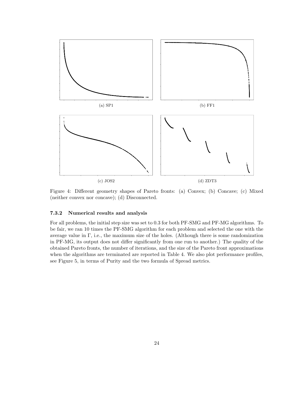

Figure 4: Different geometry shapes of Pareto fronts: (a) Convex; (b) Concave; (c) Mixed (neither convex nor concave); (d) Disconnected.

#### 7.3.2 Numerical results and analysis

For all problems, the initial step size was set to 0.3 for both PF-SMG and PF-MG algorithms. To be fair, we ran 10 times the PF-SMG algorithm for each problem and selected the one with the average value in  $\Gamma$ , i.e., the maximum size of the holes. (Although there is some randomization in PF-MG, its output does not differ significantly from one run to another.) The quality of the obtained Pareto fronts, the number of iterations, and the size of the Pareto front approximations when the algorithms are terminated are reported in Table 4. We also plot performance profiles, see Figure 5, in terms of Purity and the two formula of Spread metrics.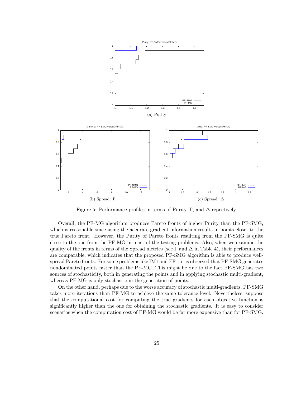

Figure 5: Performance profiles in terms of Purity, Γ, and  $\Delta$  repectively.

Overall, the PF-MG algorithm produces Pareto fronts of higher Purity than the PF-SMG, which is reasonable since using the accurate gradient information results in points closer to the true Pareto front. However, the Purity of Pareto fronts resulting from the PF-SMG is quite close to the one from the PF-MG in most of the testing problems. Also, when we examine the quality of the fronts in terms of the Spread metrics (see  $\Gamma$  and  $\Delta$  in Table 4), their performances are comparable, which indicates that the proposed PF-SMG algorithm is able to produce wellspread Pareto fronts. For some problems like IM1 and FF1, it is observed that PF-SMG generates nondominated points faster than the PF-MG. This might be due to the fact PF-SMG has two sources of stochasticity, both in generating the points and in applying stochastic multi-gradient, whereas PF-MG is only stochastic in the generation of points.

On the other hand, perhaps due to the worse accuracy of stochastic multi-gradients, PF-SMG takes more iterations than PF-MG to achieve the same tolerance level. Nevertheless, suppose that the computational cost for computing the true gradients for each objective function is significantly higher than the one for obtaining the stochastic gradients. It is easy to consider scenarios when the computation cost of PF-MG would be far more expensive than for PF-SMG.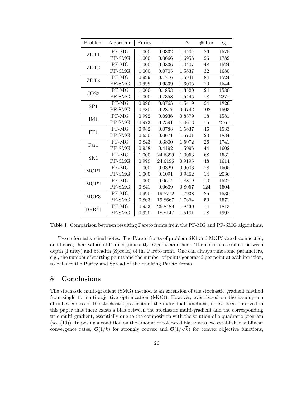| Problem          | Algorithm                         | Purity | $\Gamma$ | Δ      | $#$ Iter | $ \mathcal{L}_k $ |
|------------------|-----------------------------------|--------|----------|--------|----------|-------------------|
| ZDT1             | $PF-MG$                           | 1.000  | 0.0332   | 1.4404 | $26\,$   | 1575              |
|                  | PF-SMG                            | 1.000  | 0.0666   | 1.6958 | 26       | 1789              |
| ZDT2             | PF-MG                             | 1.000  | 0.9336   | 1.0407 | 48       | 1524              |
|                  | PF-SMG                            | 1.000  | 0.0705   | 1.5637 | 32       | 1680              |
| ZDT3             | PF-MG                             | 0.999  | 0.1716   | 1.5941 | 84       | 1524              |
|                  | PF-SMG                            | 0.999  | 0.6539   | 1.3005 | 70       | 1544              |
| JOS2             | $\rm \overline{P}F\text{-}\rm MG$ | 1.000  | 0.1853   | 1.3520 | 24       | 1530              |
|                  | PF-SMG                            | 1.000  | 0.7358   | 1.5445 | 18       | 2271              |
| SP <sub>1</sub>  | PF-MG                             | 0.996  | 0.0763   | 1.5419 | 24       | 1826              |
|                  | PF-SMG                            | 0.880  | 0.2817   | 0.9742 | 102      | 1503              |
| IM <sub>1</sub>  | PF-MG                             | 0.992  | 0.0936   | 0.8879 | 18       | 1581              |
|                  | PF-SMG                            | 0.973  | 0.2591   | 1.0613 | 16       | 2161              |
| FF1              | PF-MG                             | 0.982  | 0.0788   | 1.5637 | 46       | 1533              |
|                  | PF-SMG                            | 0.630  | 0.0671   | 1.5701 | 20       | 1834              |
| Far1             | PF-MG                             | 0.843  | 0.3800   | 1.5072 | 26       | 1741              |
|                  | PF-SMG                            | 0.958  | 0.4192   | 1.5996 | 44       | 1602              |
| SK1              | PF-MG                             | 1.000  | 24.6399  | 1.0053 | 68       | 1531              |
|                  | PF-SMG                            | 0.999  | 24.6196  | 0.9195 | 48       | 1614              |
| MOP1             | PF-MG                             | 1.000  | 0.0329   | 0.9003 | 78       | 1505              |
|                  | PF-SMG                            | 1.000  | 0.1091   | 0.9462 | 14       | 2036              |
| MOP <sub>2</sub> | PF-MG                             | 1.000  | 0.0614   | 1.8819 | 140      | 1527              |
|                  | PF-SMG                            | 0.841  | 0.0609   | 0.8057 | 124      | 1504              |
| MOP3             | $\overline{\text{PF-MG}}$         | 0.990  | 19.8772  | 1.7938 | 26       | 1530              |
|                  | PF-SMG                            | 0.863  | 19.8667  | 1.7664 | 50       | 1571              |
| DEB41            | PF-MG                             | 0.953  | 26.8489  | 1.8430 | 14       | 1813              |
|                  | PF-SMG                            | 0.920  | 18.8147  | 1.5101 | 18       | 1997              |

Table 4: Comparison between resulting Pareto fronts from the PF-MG and PF-SMG algorithms.

Two informative final notes. The Pareto fronts of problem SK1 and MOP3 are disconnected, and hence, their values of Γ are significantly larger than others. There exists a conflict between depth (Purity) and breadth (Spread) of the Pareto front. One can always tune some parameters, e.g., the number of starting points and the number of points generated per point at each iteration, to balance the Purity and Spread of the resulting Pareto fronts.

## 8 Conclusions

The stochastic multi-gradient (SMG) method is an extension of the stochastic gradient method from single to multi-objective optimization (MOO). However, even based on the assumption of unbiasedness of the stochastic gradients of the individual functions, it has been observed in this paper that there exists a bias between the stochastic multi-gradient and the corresponding true multi-gradient, essentially due to the composition with the solution of a quadratic program (see  $(10)$ ). Imposing a condition on the amount of tolerated biasedness, we established sublinear convergence rates,  $\mathcal{O}(1/k)$  for strongly convex and  $\mathcal{O}(1/\sqrt{k})$  for convex objective functions,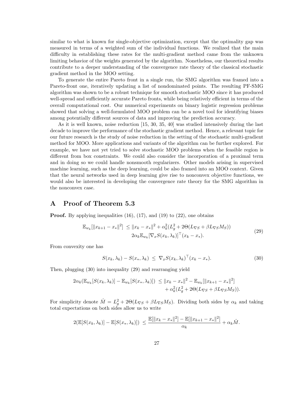similar to what is known for single-objective optimization, except that the optimality gap was measured in terms of a weighted sum of the individual functions. We realized that the main difficulty in establishing these rates for the multi-gradient method came from the unknown limiting behavior of the weights generated by the algorithm. Nonetheless, our theoretical results contribute to a deeper understanding of the convergence rate theory of the classical stochastic gradient method in the MOO setting.

To generate the entire Pareto front in a single run, the SMG algorithm was framed into a Pareto-front one, iteratively updating a list of nondominated points. The resulting PF-SMG algorithm was shown to be a robust technique for smooth stochastic MOO since it has produced well-spread and sufficiently accurate Pareto fronts, while being relatively efficient in terms of the overall computational cost. Our numerical experiments on binary logistic regression problems showed that solving a well-formulated MOO problem can be a novel tool for identifying biases among potentially different sources of data and improving the prediction accuracy.

As it is well known, noise reduction [15, 30, 35, 40] was studied intensively during the last decade to improve the performance of the stochastic gradient method. Hence, a relevant topic for our future research is the study of noise reduction in the setting of the stochastic multi-gradient method for MOO. More applications and variants of the algorithm can be further explored. For example, we have not yet tried to solve stochastic MOO problems when the feasible region is different from box constraints. We could also consider the incorporation of a proximal term and in doing so we could handle nonsmooth regularizers. Other models arising in supervised machine learning, such as the deep learning, could be also framed into an MOO context. Given that the neural networks used in deep learning give rise to nonconvex objective functions, we would also be interested in developing the convergence rate theory for the SMG algorithm in the nonconvex case.

## A Proof of Theorem 5.3

**Proof.** By applying inequalities  $(16)$ ,  $(17)$ , and  $(19)$  to  $(22)$ , one obtains

$$
\mathbb{E}_{w_k}[\|x_{k+1} - x_*\|^2] \le \|x_k - x_*\|^2 + \alpha_k^2 (L_g^2 + 2\Theta(L_{\nabla S} + \beta L_{\nabla S} M_S))
$$
  

$$
2\alpha_k \mathbb{E}_{w_k} [\nabla_x S(x_k, \lambda_k)]^\top (x_k - x_*)
$$
. (29)

From convexity one has

$$
S(x_k, \lambda_k) - S(x_*, \lambda_k) \leq \nabla_x S(x_k, \lambda_k)^\top (x_k - x_*). \tag{30}
$$

Then, plugging (30) into inequality (29) and rearranging yield

$$
2\alpha_k(\mathbb{E}_{w_k}[S(x_k, \lambda_k)] - \mathbb{E}_{w_k}[S(x_*, \lambda_k)]) \le ||x_k - x_*||^2 - \mathbb{E}_{w_k}[\|x_{k+1} - x_*\|^2] + \alpha_k^2(L_g^2 + 2\Theta(L_{\nabla S} + \beta L_{\nabla S}M_S)).
$$

For simplicity denote  $\hat{M} = L_g^2 + 2\Theta(L_{\nabla S} + \beta L_{\nabla S}M_S)$ . Dividing both sides by  $\alpha_k$  and taking total expectations on both sides allow us to write

$$
2(\mathbb{E}[S(x_k, \lambda_k)] - \mathbb{E}[S(x_k, \lambda_k)]) \le \frac{\mathbb{E}[\|x_k - x_*\|^2] - \mathbb{E}[\|x_{k+1} - x_*\|^2]}{\alpha_k} + \alpha_k \hat{M}.
$$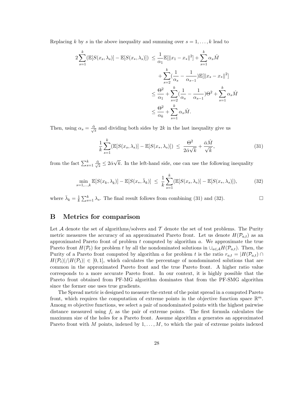Replacing k by s in the above inequality and summing over  $s = 1, \ldots, k$  lead to

$$
2\sum_{s=1}^{k} (\mathbb{E}[S(x_s, \lambda_s)] - \mathbb{E}[S(x_*, \lambda_s)]) \le \frac{1}{\alpha_1} \mathbb{E}[\|x_1 - x_*\|^2] + \sum_{s=1}^{k} \alpha_s \hat{M}
$$

$$
+ \sum_{s=2}^{k} (\frac{1}{\alpha_s} - \frac{1}{\alpha_{s-1}}) \mathbb{E}[\|x_s - x_*\|^2]
$$

$$
\le \frac{\Theta^2}{\alpha_1} + \sum_{s=2}^{k} (\frac{1}{\alpha_s} - \frac{1}{\alpha_{s-1}}) \Theta^2 + \sum_{s=1}^{k} \alpha_s \hat{M}
$$

$$
\le \frac{\Theta^2}{\alpha_k} + \sum_{s=1}^{k} \alpha_s \hat{M}.
$$

Then, using  $\alpha_s = \frac{\bar{\alpha}}{\sqrt{s}}$  and dividing both sides by 2k in the last inequality give us

$$
\frac{1}{k} \sum_{s=1}^{k} (\mathbb{E}[S(x_s, \lambda_s)] - \mathbb{E}[S(x_*, \lambda_s)]) \leq \frac{\Theta^2}{2\bar{\alpha}\sqrt{k}} + \frac{\bar{\alpha}\hat{M}}{\sqrt{k}},
$$
\n(31)

from the fact  $\sum_{s=1}^{k} \frac{\bar{\alpha}}{\sqrt{s}} \leq 2\bar{\alpha}\sqrt{k}$ . In the left-hand side, one can use the following inequality

$$
\min_{s=1,\ldots,k} \mathbb{E}[S(x_k,\lambda_k)] - \mathbb{E}[S(x_*,\bar{\lambda}_k)] \le \frac{1}{k} \sum_{s=1}^k (\mathbb{E}[S(x_s,\lambda_s)] - \mathbb{E}[S(x_*,\lambda_s)]),\tag{32}
$$

where  $\bar{\lambda}_k = \frac{1}{k} \sum_{s=1}^k \lambda_s$ . The final result follows from combining (31) and (32).

## B Metrics for comparison

Let A denote the set of algorithms/solvers and  $\mathcal T$  denote the set of test problems. The Purity metric measures the accuracy of an approximated Pareto front. Let us denote  $H(\mathcal{P}_{a,t})$  as an approximated Pareto front of problem  $t$  computed by algorithm  $a$ . We approximate the true Pareto front  $H(\mathcal{P}_t)$  for problem t by all the nondominated solutions in  $\cup_{a\in\mathcal{A}}H(\mathcal{P}_{a,t})$ . Then, the Purity of a Pareto front computed by algorithm a for problem t is the ratio  $r_{a,t} = |H(\mathcal{P}_{a,t}) \cap$  $H(\mathcal{P}_t)|/|H(\mathcal{P}_t)| \in [0,1],$  which calculates the percentage of nondominated solutions that are common in the approximated Pareto front and the true Pareto front. A higher ratio value corresponds to a more accurate Pareto front. In our context, it is highly possible that the Pareto front obtained from PF-MG algorithm dominates that from the PF-SMG algorithm since the former one uses true gradients.

The Spread metric is designed to measure the extent of the point spread in a computed Pareto front, which requires the computation of extreme points in the objective function space  $\mathbb{R}^m$ . Among m objective functions, we select a pair of nondominated points with the highest pairwise distance measured using  $f_i$  as the pair of extreme points. The first formula calculates the maximum size of the holes for a Pareto front. Assume algorithm a generates an approximated Pareto front with M points, indexed by  $1, \ldots, M$ , to which the pair of extreme points indexed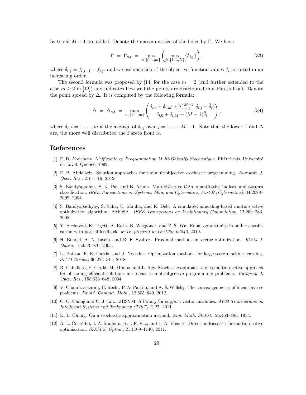by 0 and  $M + 1$  are added. Denote the maximum size of the holes by Γ. We have

$$
\Gamma = \Gamma_{a,t} = \max_{i \in \{0,\dots,m\}} \left( \max_{j \in \{1,\dots,N\}} \{\delta_{i,j}\} \right),\tag{33}
$$

where  $\delta_{i,j} = f_{i,j+1} - f_{i,j}$ , and we assume each of the objective function values  $f_i$  is sorted in an increasing order.

The second formula was proposed by [14] for the case  $m = 2$  (and further extended to the case  $m \geq 2$  in [12]) and indicates how well the points are distributed in a Pareto front. Denote the point spread by  $\Delta$ . It is computed by the following formula:

$$
\Delta = \Delta_{a,t} = \max_{i \in \{1,\dots,m\}} \left( \frac{\delta_{i,0} + \delta_{i,M} + \sum_{j=1}^{M-1} |\delta_{i,j} - \bar{\delta}_i|}{\delta_{i,0} + \delta_{i,M} + (M-1)\bar{\delta}_i} \right),
$$
\n(34)

where  $\bar{\delta}_i, i = 1, \ldots, m$  is the average of  $\delta_{i,j}$  over  $j = 1, \ldots, M - 1$ . Note that the lower  $\Gamma$  and  $\Delta$ are, the more well distributed the Pareto front is.

## References

- [1] F. B. Abdelaziz. L'efficacité en Programmation Multi-Objectifs Stochastique. PhD thesis, Université de Laval, Québec, 1992.
- [2] F. B. Abdelaziz. Solution approaches for the multiobjective stochastic programming. European J. Oper. Res., 216:1–16, 2012.
- [3] S. Bandyopadhya, S. K. Pal, and B. Aruna. Multiobjective GAs, quantitative indices, and pattern classification. IEEE Transactions on Systems, Man, and Cybernetics, Part B (Cybernetics), 34:2088– 2099, 2004.
- [4] S. Bandyopadhyay, S. Saha, U. Maulik, and K. Deb. A simulated annealing-based multiobjective optimization algorithm: AMOSA. IEEE Transactions on Evolutionary Computation, 12:269–283, 2008.
- [5] Y. Bechavod, K. Ligett, A. Roth, B. Waggoner, and Z. S. Wu. Equal opportunity in online classification with partial feedback. arXiv preprint arXiv:1902.02242, 2019.
- [6] H. Bonnel, A. N. Iusem, and B. F. Svaiter. Proximal methods in vector optimization. SIAM J. Optim., 15:953–970, 2005.
- [7] L. Bottou, F. E. Curtis, and J. Nocedal. Optimization methods for large-scale machine learning. SIAM Review, 60:223–311, 2018.
- [8] R. Caballero, E. Cerdá, M. Munoz, and L. Rey. Stochastic approach versus multiobjective approach for obtaining efficient solutions in stochastic multiobjective programming problems. European J. Oper. Res., 158:633–648, 2004.
- [9] V. Chandrasekaran, B. Recht, P. A. Parrilo, and A. S. Willsky. The convex geometry of linear inverse problems. Found. Comput. Math., 12:805–849, 2012.
- [10] C. C. Chang and C. J. Lin. LIBSVM: A library for support vector machines. ACM Transactions on Intelligent Systems and Technology (TIST), 2:27, 2011.
- [11] K. L. Chung. On a stochastic approximation method. Ann. Math. Statist., 25:463–483, 1954.
- [12] A. L. Custódio, J. A. Madeira, A. I. F. Vaz, and L. N. Vicente. Direct multisearch for multiobjective optimization. SIAM J. Optim., 21:1109–1140, 2011.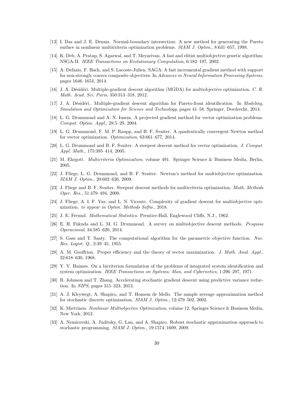- [13] I. Das and J. E. Dennis. Normal-boundary intersection: A new method for generating the Pareto surface in nonlinear multicriteria optimization problems. SIAM J. Optim., 8:631–657, 1998.
- [14] K. Deb, A. Pratap, S. Agarwal, and T. Meyarivan. A fast and elitist multiobjective genetic algorithm: NSGA-II. IEEE Transactions on Evolutionary Computation, 6:182–197, 2002.
- [15] A. Defazio, F. Bach, and S. Lacoste-Julien. SAGA: A fast incremental gradient method with support for non-strongly convex composite objectives. In Advances in Neural Information Processing Systems, pages 1646–1654, 2014.
- [16] J. A. Désidéri. Multiple-gradient descent algorithm (MGDA) for multiobjective optimization. C. R. Math. Acad. Sci. Paris, 350:313–318, 2012.
- [17] J. A. Désidéri. Multiple-gradient descent algorithm for Pareto-front identification. In Modeling, Simulation and Optimization for Science and Technology, pages 41–58. Springer, Dordrecht, 2014.
- [18] L. G. Drummond and A. N. Iusem. A projected gradient method for vector optimization problems. Comput. Optim. Appl., 28:5–29, 2004.
- [19] L. G. Drummond, F. M. P. Raupp, and B. F. Svaiter. A quadratically convergent Newton method for vector optimization. Optimization, 63:661–677, 2014.
- [20] L. G. Drummond and B. F. Svaiter. A steepest descent method for vector optimization. J. Comput. Appl. Math., 175:395–414, 2005.
- [21] M. Ehrgott. Multicriteria Optimization, volume 491. Springer Science & Business Media, Berlin, 2005.
- [22] J. Fliege, L. G. Drummond, and B. F. Svaiter. Newton's method for multiobjective optimization. SIAM J. Optim., 20:602–626, 2009.
- [23] J. Fliege and B. F. Svaiter. Steepest descent methods for multicriteria optimization. Math. Methods Oper. Res., 51:479–494, 2000.
- [24] J. Fliege, A. I. F. Vaz, and L. N. Vicente. Complexity of gradient descent for multiobjective optimization. to appear in Optim. Methods Softw., 2018.
- [25] J. E. Freund. Mathematical Statistics. Prentice-Hall, Englewood Cliffs, N.J., 1962.
- [26] E. H. Fukuda and L. M. G. Drummond. A survey on multiobjective descent methods. Pesquisa Operacional, 34:585–620, 2014.
- [27] S. Gass and T. Saaty. The computational algorithm for the parametric objective function. Nav. Res. Logist. Q., 2:39–45, 1955.
- [28] A. M. Geoffrion. Proper efficiency and the theory of vector maximization. J. Math. Anal. Appl., 22:618–630, 1968.
- [29] Y. V. Haimes. On a bicriterion formulation of the problems of integrated system identification and system optimization. IEEE Transactions on Systems, Man, and Cybernetics, 1:296–297, 1971.
- [30] R. Johnson and T. Zhang. Accelerating stochastic gradient descent using predictive variance reduction. In NIPS, pages 315–323, 2013.
- [31] A. J. Kleywegt, A. Shapiro, and T. Homem de Mello. The sample average approximation method for stochastic discrete optimization. SIAM J. Optim., 12:479–502, 2002.
- [32] K. Miettinen. Nonlinear Multiobjective Optimization, volume 12. Springer Science & Business Media, New York, 2012.
- [33] A. Nemirovski, A. Juditsky, G. Lan, and A. Shapiro. Robust stochastic approximation approach to stochastic programming. SIAM J. Optim., 19:1574–1609, 2009.